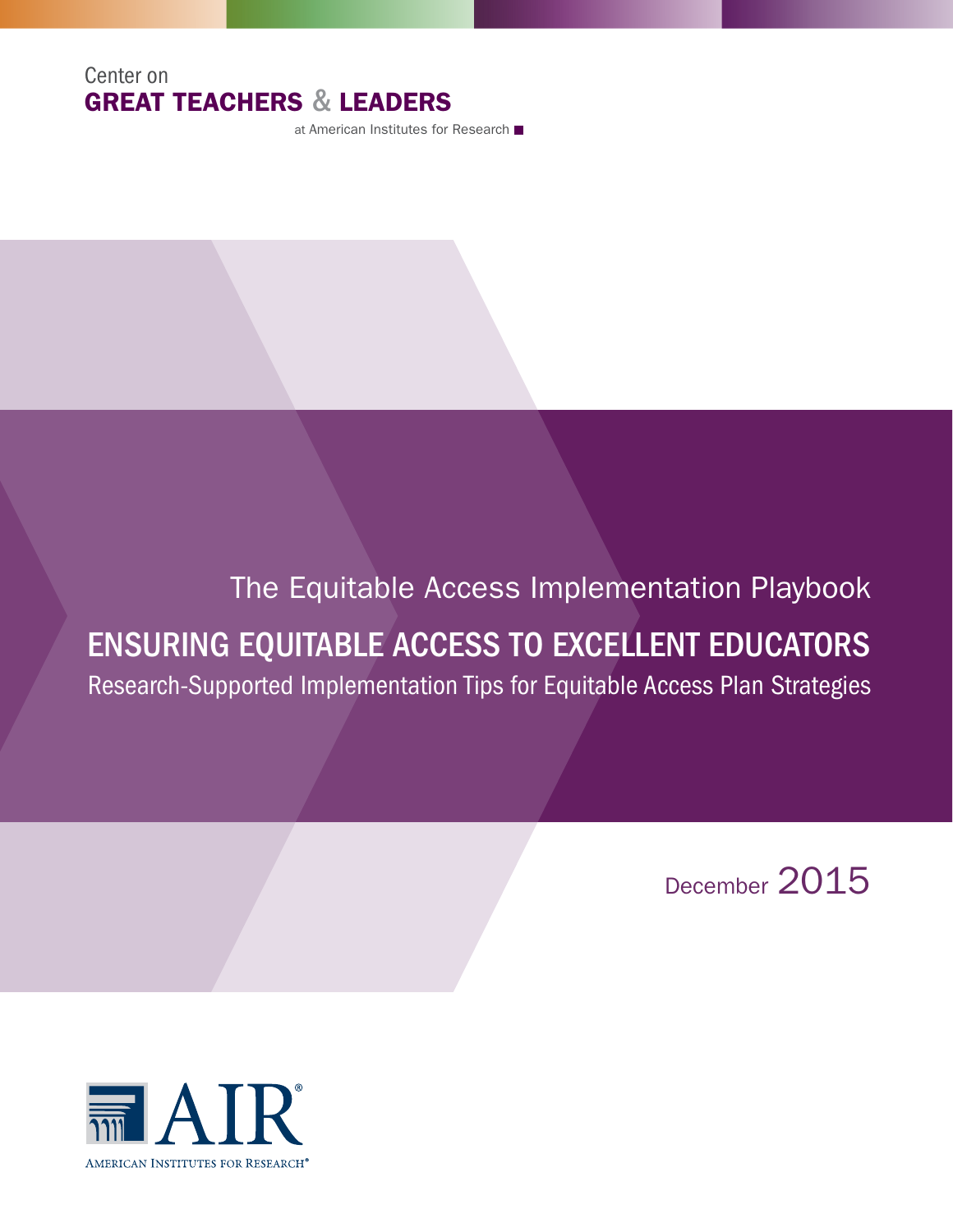## Center on GREAT TEACHERS & LEADERS

at American Institutes for Research

# The Equitable Access Implementation Playbook

# ENSURING EQUITABLE ACCESS TO EXCELLENT EDUCATORS

Research-Supported Implementation Tips for Equitable Access Plan Strategies

December 2015

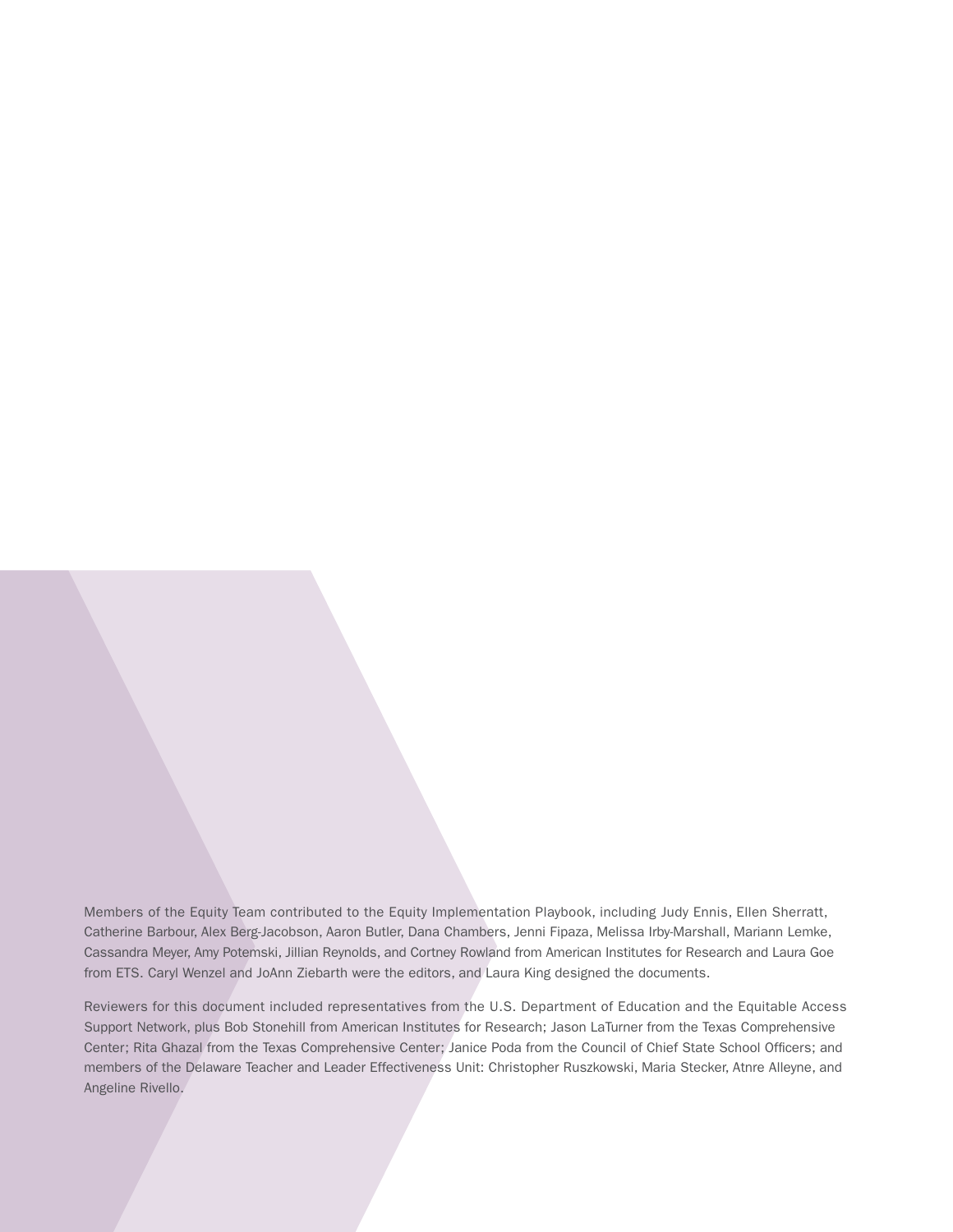Members of the Equity Team contributed to the Equity Implementation Playbook, including Judy Ennis, Ellen Sherratt, Catherine Barbour, Alex Berg-Jacobson, Aaron Butler, Dana Chambers, Jenni Fipaza, Melissa Irby-Marshall, Mariann Lemke, Cassandra Meyer, Amy Potemski, Jillian Reynolds, and Cortney Rowland from American Institutes for Research and Laura Goe from ETS. Caryl Wenzel and JoAnn Ziebarth were the editors, and Laura King designed the documents.

Reviewers for this document included representatives from the U.S. Department of Education and the Equitable Access Support Network, plus Bob Stonehill from American Institutes for Research; Jason LaTurner from the Texas Comprehensive Center; Rita Ghazal from the Texas Comprehensive Center; Janice Poda from the Council of Chief State School Officers; and members of the Delaware Teacher and Leader Effectiveness Unit: Christopher Ruszkowski, Maria Stecker, Atnre Alleyne, and Angeline Rivello.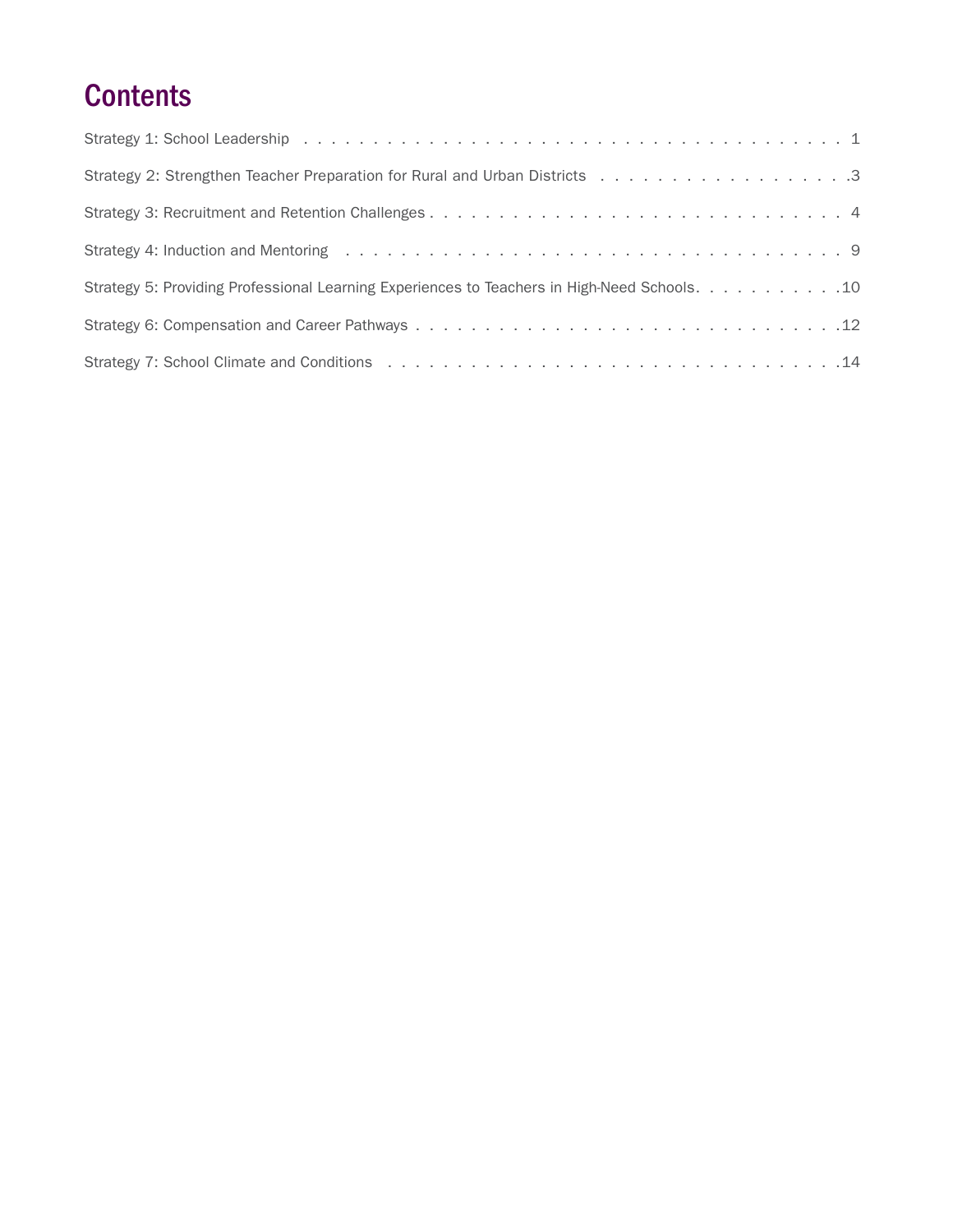# **Contents**

| Strategy 2: Strengthen Teacher Preparation for Rural and Urban Districts 3                                                                                                                                                     |
|--------------------------------------------------------------------------------------------------------------------------------------------------------------------------------------------------------------------------------|
|                                                                                                                                                                                                                                |
| Strategy 4: Induction and Mentoring runders and successive contact to contact the contact of the strategy 4: Induction and Mentoring runders and contact to contact the strategy of the strategy of the strategy of the strate |
| Strategy 5: Providing Professional Learning Experiences to Teachers in High-Need Schools. 10                                                                                                                                   |
|                                                                                                                                                                                                                                |
|                                                                                                                                                                                                                                |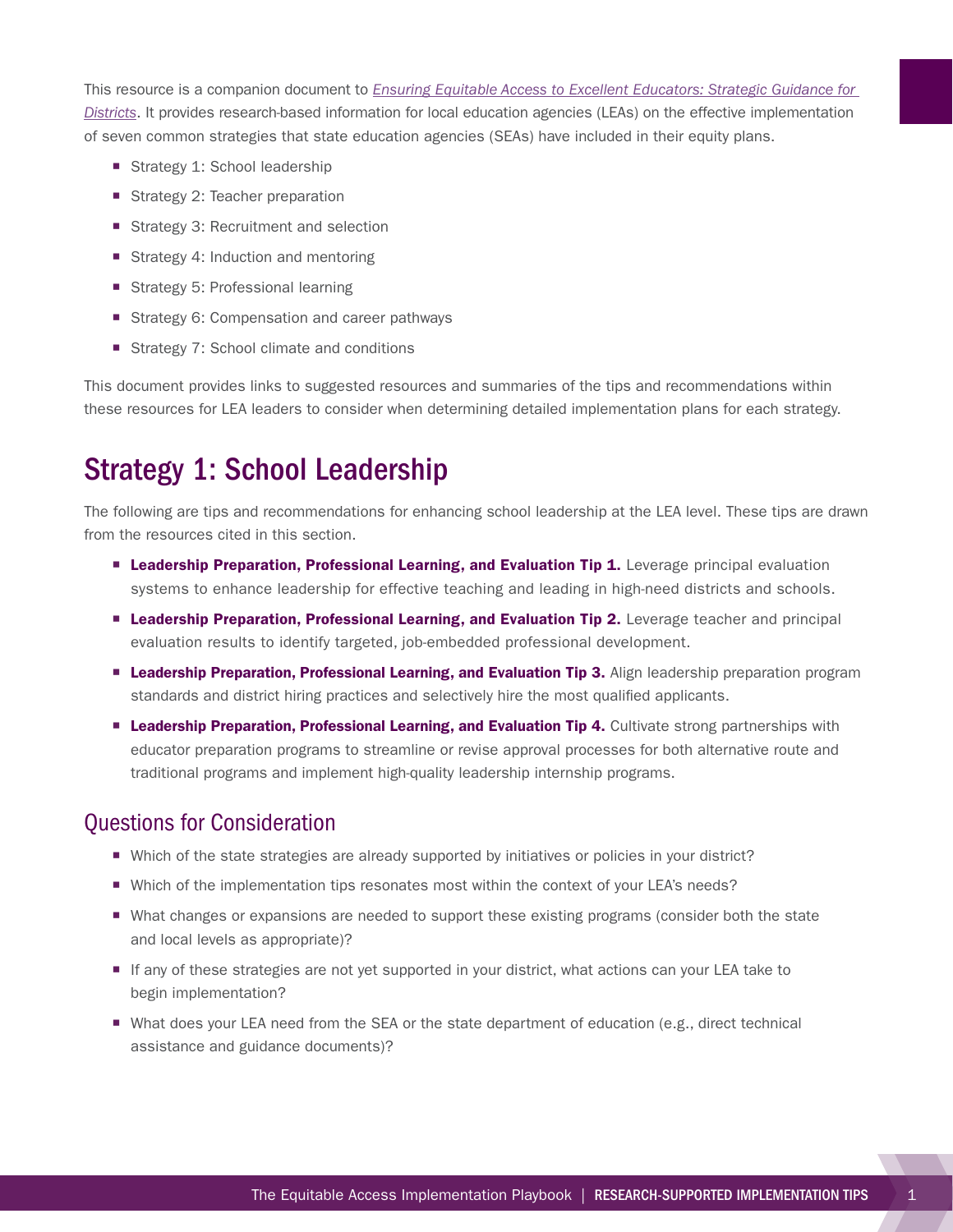<span id="page-4-0"></span>This resource is a companion document to *[Ensuring Equitable Access to Excellent Educators: Strategic Guidance for](http://www.gtlcenter.org/sites/default/files/Guidance_Districts.pdf)  [Districts](http://www.gtlcenter.org/sites/default/files/Guidance_Districts.pdf)*. It provides research-based information for local education agencies (LEAs) on the effective implementation of seven common strategies that state education agencies (SEAs) have included in their equity plans.

- Strategy 1: School leadership
- Strategy 2: Teacher preparation
- Strategy 3: Recruitment and selection
- Strategy 4: Induction and mentoring
- Strategy 5: Professional learning
- Strategy 6: Compensation and career pathways
- Strategy 7: School climate and conditions

This document provides links to suggested resources and summaries of the tips and recommendations within these resources for LEA leaders to consider when determining detailed implementation plans for each strategy.

## Strategy 1: School Leadership

The following are tips and recommendations for enhancing school leadership at the LEA level. These tips are drawn from the resources cited in this section.

- **E** Leadership Preparation, Professional Learning, and Evaluation Tip 1. Leverage principal evaluation systems to enhance leadership for effective teaching and leading in high-need districts and schools.
- **Example 2. Leadership Preparation, Professional Learning, and Evaluation Tip 2.** Leverage teacher and principal evaluation results to identify targeted, job-embedded professional development.
- **E** Leadership Preparation, Professional Learning, and Evaluation Tip 3. Align leadership preparation program standards and district hiring practices and selectively hire the most qualified applicants.
- **E** Leadership Preparation, Professional Learning, and Evaluation Tip 4. Cultivate strong partnerships with educator preparation programs to streamline or revise approval processes for both alternative route and traditional programs and implement high-quality leadership internship programs.

- Which of the state strategies are already supported by initiatives or policies in your district?
- Which of the implementation tips resonates most within the context of your LEA's needs?
- What changes or expansions are needed to support these existing programs (consider both the state and local levels as appropriate)?
- If any of these strategies are not yet supported in your district, what actions can your LEA take to begin implementation?
- What does your LEA need from the SEA or the state department of education (e.g., direct technical assistance and guidance documents)?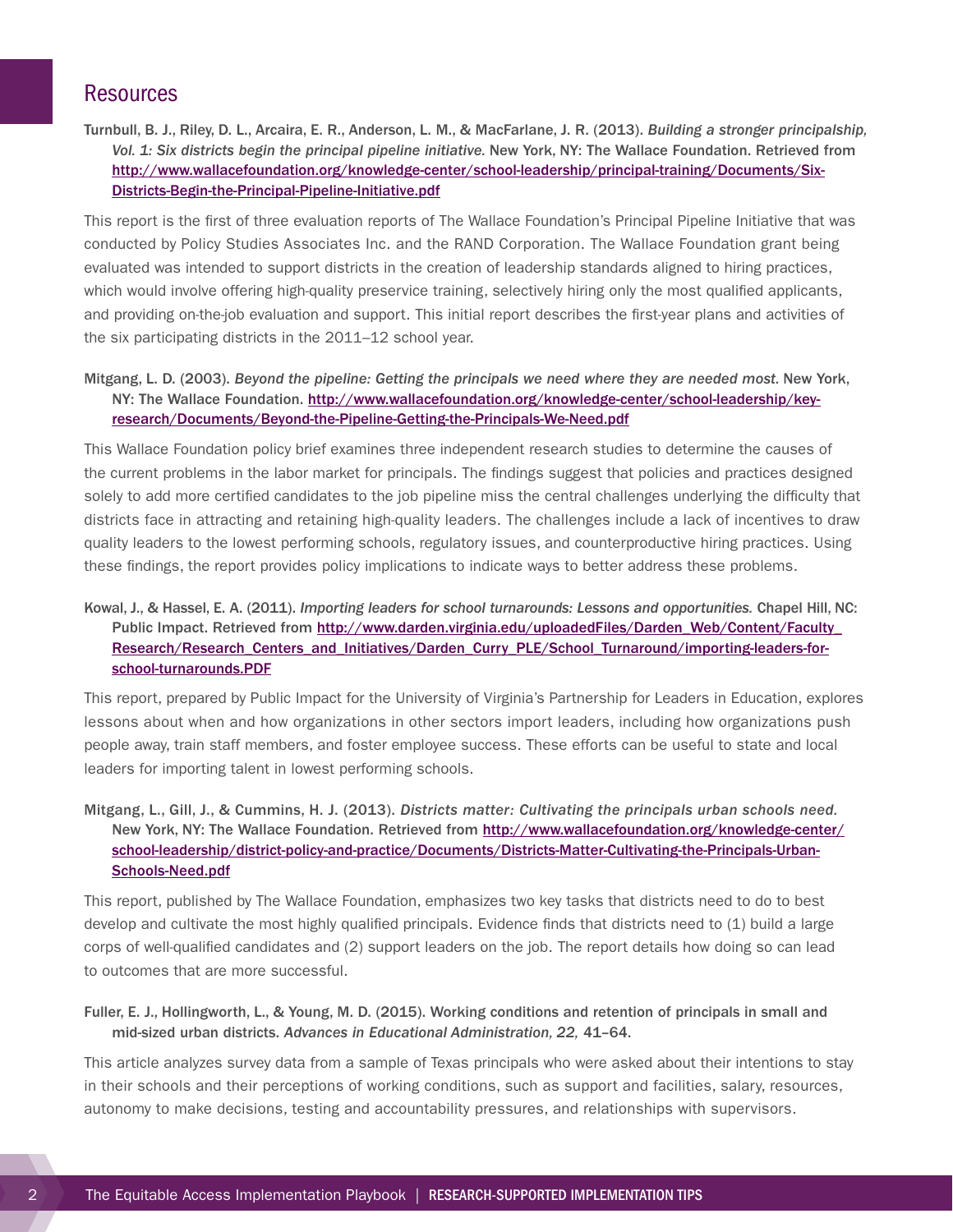Turnbull, B. J., Riley, D. L., Arcaira, E. R., Anderson, L. M., & MacFarlane, J. R. (2013). *Building a stronger principalship,*  Vol. 1: Six districts begin the principal pipeline initiative. New York, NY: The Wallace Foundation. Retrieved from [http://www.wallacefoundation.org/knowledge-center/school-leadership/principal-training/Documents/Six-](http://www.wallacefoundation.org/knowledge-center/school-leadership/principal-training/Documents/Six-Districts-Begin-the-Principal-Pipeline-Initiative.pdf)[Districts-Begin-the-Principal-Pipeline-Initiative.pdf](http://www.wallacefoundation.org/knowledge-center/school-leadership/principal-training/Documents/Six-Districts-Begin-the-Principal-Pipeline-Initiative.pdf)

This report is the first of three evaluation reports of The Wallace Foundation's Principal Pipeline Initiative that was conducted by Policy Studies Associates Inc. and the RAND Corporation. The Wallace Foundation grant being evaluated was intended to support districts in the creation of leadership standards aligned to hiring practices, which would involve offering high-quality preservice training, selectively hiring only the most qualified applicants, and providing on-the-job evaluation and support. This initial report describes the first-year plans and activities of the six participating districts in the 2011–12 school year.

### Mitgang, L. D. (2003). *Beyond the pipeline: Getting the principals we need where they are needed most.* New York, NY: The Wallace Foundation. [http://www.wallacefoundation.org/knowledge-center/school-leadership/key](http://www.wallacefoundation.org/knowledge-center/school-leadership/key-research/Documents/Beyond-the-Pipeline-Getting-the-Principals-We-Need.pdf)[research/Documents/Beyond-the-Pipeline-Getting-the-Principals-We-Need.pdf](http://www.wallacefoundation.org/knowledge-center/school-leadership/key-research/Documents/Beyond-the-Pipeline-Getting-the-Principals-We-Need.pdf)

This Wallace Foundation policy brief examines three independent research studies to determine the causes of the current problems in the labor market for principals. The findings suggest that policies and practices designed solely to add more certified candidates to the job pipeline miss the central challenges underlying the difficulty that districts face in attracting and retaining high-quality leaders. The challenges include a lack of incentives to draw quality leaders to the lowest performing schools, regulatory issues, and counterproductive hiring practices. Using these findings, the report provides policy implications to indicate ways to better address these problems.

### Kowal, J., & Hassel, E. A. (2011). *Importing leaders for school turnarounds: Lessons and opportunities.* Chapel Hill, NC: Public Impact. Retrieved from [http://www.darden.virginia.edu/uploadedFiles/Darden\\_Web/Content/Faculty\\_](http://www.darden.virginia.edu/uploadedFiles/Darden_Web/Content/Faculty_Research/Research_Centers_and_Initiatives/Darden_Curry_PLE/School_Turnaround/importing-leaders-for-school-turnarounds.PDF) [Research/Research\\_Centers\\_and\\_Initiatives/Darden\\_Curry\\_PLE/School\\_Turnaround/importing-leaders-for](http://www.darden.virginia.edu/uploadedFiles/Darden_Web/Content/Faculty_Research/Research_Centers_and_Initiatives/Darden_Curry_PLE/School_Turnaround/importing-leaders-for-school-turnarounds.PDF)[school-turnarounds.PDF](http://www.darden.virginia.edu/uploadedFiles/Darden_Web/Content/Faculty_Research/Research_Centers_and_Initiatives/Darden_Curry_PLE/School_Turnaround/importing-leaders-for-school-turnarounds.PDF)

This report, prepared by Public Impact for the University of Virginia's Partnership for Leaders in Education, explores lessons about when and how organizations in other sectors import leaders, including how organizations push people away, train staff members, and foster employee success. These efforts can be useful to state and local leaders for importing talent in lowest performing schools.

### Mitgang, L., Gill, J., & Cummins, H. J. (2013). *Districts matter: Cultivating the principals urban schools need.*  New York, NY: The Wallace Foundation. Retrieved from [http://www.wallacefoundation.org/knowledge-center/](http://www.wallacefoundation.org/knowledge-center/school-leadership/district-policy-and-practice/Documents/Districts-Matter-Cultivating-the-Principals-Urban-Schools-Need.pdf) [school-leadership/district-policy-and-practice/Documents/Districts-Matter-Cultivating-the-Principals-Urban-](http://www.wallacefoundation.org/knowledge-center/school-leadership/district-policy-and-practice/Documents/Districts-Matter-Cultivating-the-Principals-Urban-Schools-Need.pdf)[Schools-Need.pdf](http://www.wallacefoundation.org/knowledge-center/school-leadership/district-policy-and-practice/Documents/Districts-Matter-Cultivating-the-Principals-Urban-Schools-Need.pdf)

This report, published by The Wallace Foundation, emphasizes two key tasks that districts need to do to best develop and cultivate the most highly qualified principals. Evidence finds that districts need to (1) build a large corps of well-qualified candidates and (2) support leaders on the job. The report details how doing so can lead to outcomes that are more successful.

#### Fuller, E. J., Hollingworth, L., & Young, M. D. (2015). Working conditions and retention of principals in small and mid-sized urban districts. *Advances in Educational Administration, 22,* 41–64.

This article analyzes survey data from a sample of Texas principals who were asked about their intentions to stay in their schools and their perceptions of working conditions, such as support and facilities, salary, resources, autonomy to make decisions, testing and accountability pressures, and relationships with supervisors.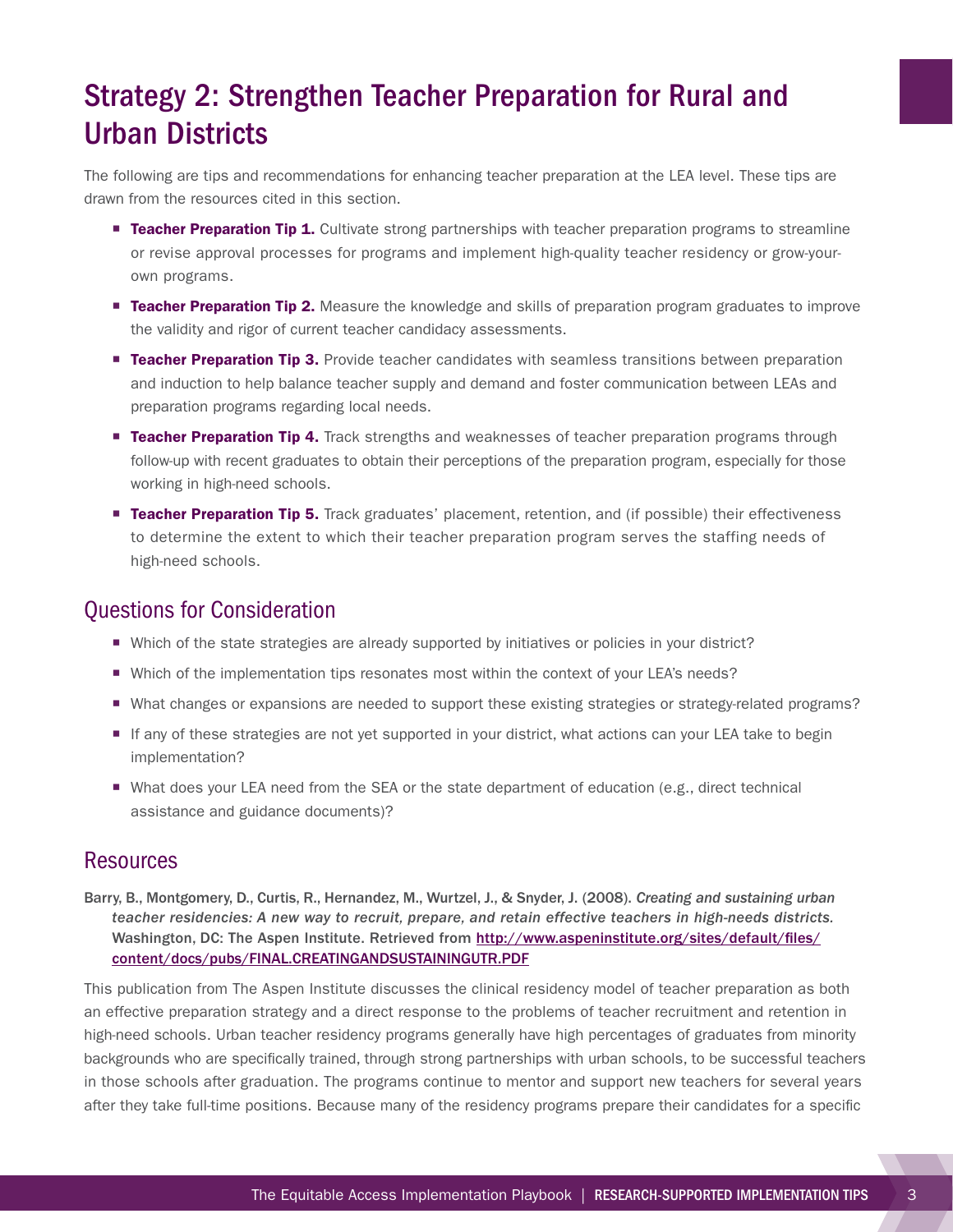# <span id="page-6-0"></span>Strategy 2: Strengthen Teacher Preparation for Rural and Urban Districts

The following are tips and recommendations for enhancing teacher preparation at the LEA level. These tips are drawn from the resources cited in this section.

- **Example 7** Teacher Preparation Tip 1. Cultivate strong partnerships with teacher preparation programs to streamline or revise approval processes for programs and implement high-quality teacher residency or grow-yourown programs.
- **Example Teacher Preparation Tip 2.** Measure the knowledge and skills of preparation program graduates to improve the validity and rigor of current teacher candidacy assessments.
- **Teacher Preparation Tip 3.** Provide teacher candidates with seamless transitions between preparation and induction to help balance teacher supply and demand and foster communication between LEAs and preparation programs regarding local needs.
- **Teacher Preparation Tip 4.** Track strengths and weaknesses of teacher preparation programs through follow-up with recent graduates to obtain their perceptions of the preparation program, especially for those working in high-need schools.
- **Teacher Preparation Tip 5.** Track graduates' placement, retention, and (if possible) their effectiveness to determine the extent to which their teacher preparation program serves the staffing needs of high-need schools.

## Questions for Consideration

- Which of the state strategies are already supported by initiatives or policies in your district?
- Which of the implementation tips resonates most within the context of your LEA's needs?
- ¡ What changes or expansions are needed to support these existing strategies or strategy-related programs?
- ¡ If any of these strategies are not yet supported in your district, what actions can your LEA take to begin implementation?
- What does your LEA need from the SEA or the state department of education (e.g., direct technical assistance and guidance documents)?

### **Resources**

Barry, B., Montgomery, D., Curtis, R., Hernandez, M., Wurtzel, J., & Snyder, J. (2008). *Creating and sustaining urban teacher residencies: A new way to recruit, prepare, and retain effective teachers in high-needs districts.*  Washington, DC: The Aspen Institute. Retrieved from [http://www.aspeninstitute.org/sites/default/files/](http://www.aspeninstitute.org/sites/default/files/content/docs/pubs/FINAL.CREATINGANDSUSTAININGUTR.PDF) [content/docs/pubs/FINAL.CREATINGANDSUSTAININGUTR.PDF](http://www.aspeninstitute.org/sites/default/files/content/docs/pubs/FINAL.CREATINGANDSUSTAININGUTR.PDF)

This publication from The Aspen Institute discusses the clinical residency model of teacher preparation as both an effective preparation strategy and a direct response to the problems of teacher recruitment and retention in high-need schools. Urban teacher residency programs generally have high percentages of graduates from minority backgrounds who are specifically trained, through strong partnerships with urban schools, to be successful teachers in those schools after graduation. The programs continue to mentor and support new teachers for several years after they take full-time positions. Because many of the residency programs prepare their candidates for a specific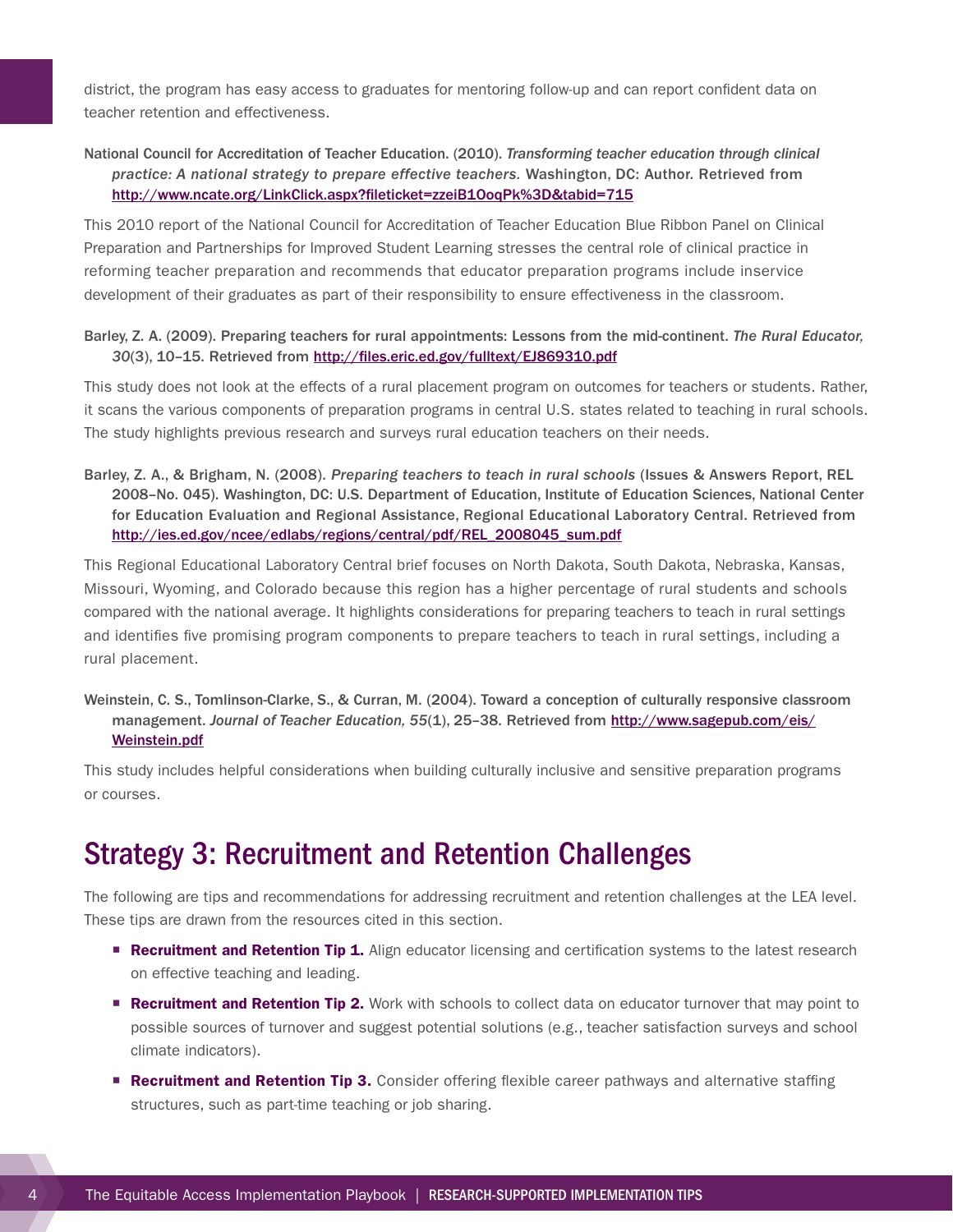<span id="page-7-0"></span>district, the program has easy access to graduates for mentoring follow-up and can report confident data on teacher retention and effectiveness.

### National Council for Accreditation of Teacher Education. (2010). *Transforming teacher education through clinical practice: A national strategy to prepare effective teachers.* Washington, DC: Author. Retrieved from <http://www.ncate.org/LinkClick.aspx?fileticket=zzeiB1OoqPk%3D&tabid=715>

This 2010 report of the National Council for Accreditation of Teacher Education Blue Ribbon Panel on Clinical Preparation and Partnerships for Improved Student Learning stresses the central role of clinical practice in reforming teacher preparation and recommends that educator preparation programs include inservice development of their graduates as part of their responsibility to ensure effectiveness in the classroom.

#### Barley, Z. A. (2009). Preparing teachers for rural appointments: Lessons from the mid-continent. *The Rural Educator, 30*(3), 10–15. Retrieved from <http://files.eric.ed.gov/fulltext/EJ869310.pdf>

This study does not look at the effects of a rural placement program on outcomes for teachers or students. Rather, it scans the various components of preparation programs in central U.S. states related to teaching in rural schools. The study highlights previous research and surveys rural education teachers on their needs.

Barley, Z. A., & Brigham, N. (2008). *Preparing teachers to teach in rural schools* (Issues & Answers Report, REL 2008–No. 045). Washington, DC: U.S. Department of Education, Institute of Education Sciences, National Center for Education Evaluation and Regional Assistance, Regional Educational Laboratory Central. Retrieved from [http://ies.ed.gov/ncee/edlabs/regions/central/pdf/REL\\_2008045\\_sum.pdf](http://ies.ed.gov/ncee/edlabs/regions/central/pdf/REL_2008045_sum.pdf)

This Regional Educational Laboratory Central brief focuses on North Dakota, South Dakota, Nebraska, Kansas, Missouri, Wyoming, and Colorado because this region has a higher percentage of rural students and schools compared with the national average. It highlights considerations for preparing teachers to teach in rural settings and identifies five promising program components to prepare teachers to teach in rural settings, including a rural placement.

Weinstein, C. S., Tomlinson-Clarke, S., & Curran, M. (2004). Toward a conception of culturally responsive classroom management. *Journal of Teacher Education*, 55(1), 25-38. Retrieved from [http://www.sagepub.com/eis/](http://www.sagepub.com/eis/Weinstein.pdf) [Weinstein.pdf](http://www.sagepub.com/eis/Weinstein.pdf)

This study includes helpful considerations when building culturally inclusive and sensitive preparation programs or courses.

## Strategy 3: Recruitment and Retention Challenges

The following are tips and recommendations for addressing recruitment and retention challenges at the LEA level. These tips are drawn from the resources cited in this section.

- **Recruitment and Retention Tip 1.** Align educator licensing and certification systems to the latest research on effective teaching and leading.
- **Recruitment and Retention Tip 2.** Work with schools to collect data on educator turnover that may point to possible sources of turnover and suggest potential solutions (e.g., teacher satisfaction surveys and school climate indicators).
- **Recruitment and Retention Tip 3.** Consider offering flexible career pathways and alternative staffing structures, such as part-time teaching or job sharing.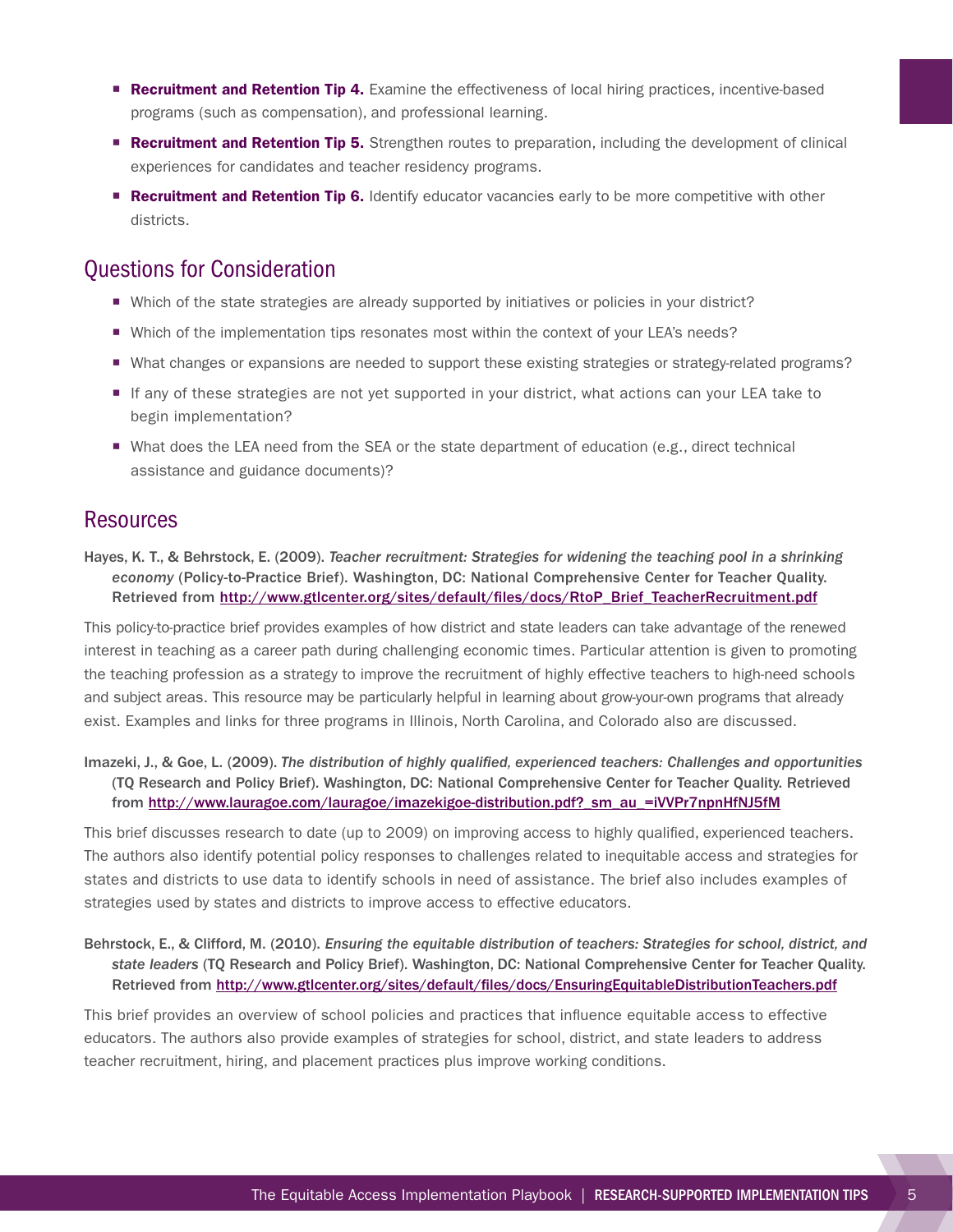- **Recruitment and Retention Tip 4.** Examine the effectiveness of local hiring practices, incentive-based programs (such as compensation), and professional learning.
- **Recruitment and Retention Tip 5.** Strengthen routes to preparation, including the development of clinical experiences for candidates and teacher residency programs.
- **Recruitment and Retention Tip 6.** Identify educator vacancies early to be more competitive with other districts.

## Questions for Consideration

- Which of the state strategies are already supported by initiatives or policies in your district?
- Which of the implementation tips resonates most within the context of your LEA's needs?
- ¡ What changes or expansions are needed to support these existing strategies or strategy-related programs?
- If any of these strategies are not yet supported in your district, what actions can your LEA take to begin implementation?
- What does the LEA need from the SEA or the state department of education (e.g., direct technical assistance and guidance documents)?

## **Resources**

Hayes, K. T., & Behrstock, E. (2009). *Teacher recruitment: Strategies for widening the teaching pool in a shrinking economy* (Policy-to-Practice Brief). Washington, DC: National Comprehensive Center for Teacher Quality. Retrieved from [http://www.gtlcenter.org/sites/default/files/docs/RtoP\\_Brief\\_TeacherRecruitment.pdf](http://www.gtlcenter.org/sites/default/files/docs/RtoP_Brief_TeacherRecruitment.pdf)

This policy-to-practice brief provides examples of how district and state leaders can take advantage of the renewed interest in teaching as a career path during challenging economic times. Particular attention is given to promoting the teaching profession as a strategy to improve the recruitment of highly effective teachers to high-need schools and subject areas. This resource may be particularly helpful in learning about grow-your-own programs that already exist. Examples and links for three programs in Illinois, North Carolina, and Colorado also are discussed.

Imazeki, J., & Goe, L. (2009). *The distribution of highly qualified, experienced teachers: Challenges and opportunities*  (TQ Research and Policy Brief). Washington, DC: National Comprehensive Center for Teacher Quality. Retrieved from http://www.lauragoe.com/lauragoe/imazekigoe-distribution.pdf? sm\_au\_=iVVPr7npnHfNJ5fM

This brief discusses research to date (up to 2009) on improving access to highly qualified, experienced teachers. The authors also identify potential policy responses to challenges related to inequitable access and strategies for states and districts to use data to identify schools in need of assistance. The brief also includes examples of strategies used by states and districts to improve access to effective educators.

Behrstock, E., & Clifford, M. (2010). *Ensuring the equitable distribution of teachers: Strategies for school, district, and state leaders* (TQ Research and Policy Brief). Washington, DC: National Comprehensive Center for Teacher Quality. Retrieved from<http://www.gtlcenter.org/sites/default/files/docs/EnsuringEquitableDistributionTeachers.pdf>

This brief provides an overview of school policies and practices that influence equitable access to effective educators. The authors also provide examples of strategies for school, district, and state leaders to address teacher recruitment, hiring, and placement practices plus improve working conditions.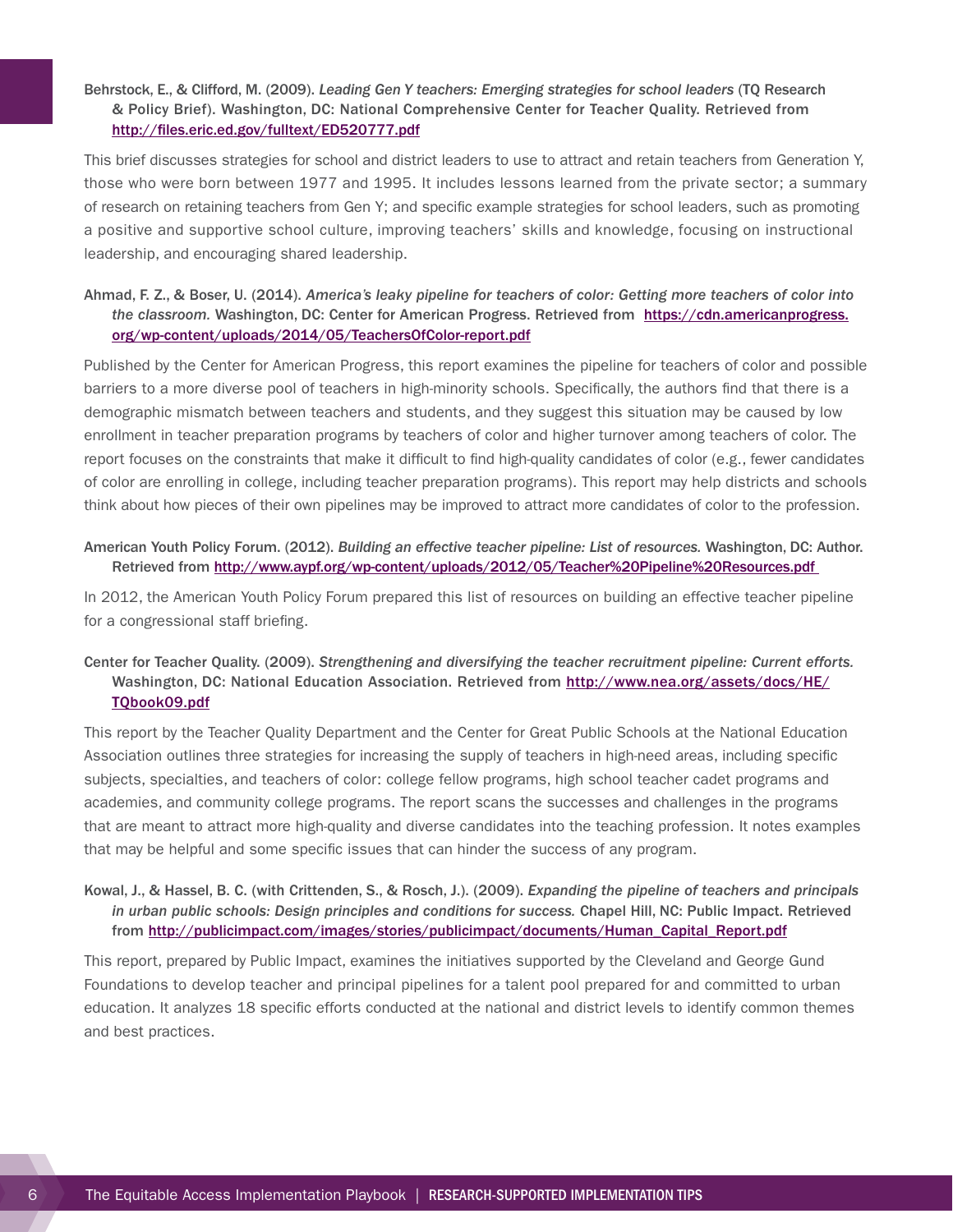### Behrstock, E., & Clifford, M. (2009). *Leading Gen Y teachers: Emerging strategies for school leaders* (TQ Research & Policy Brief). Washington, DC: National Comprehensive Center for Teacher Quality. Retrieved from <http://files.eric.ed.gov/fulltext/ED520777.pdf>

This brief discusses strategies for school and district leaders to use to attract and retain teachers from Generation Y, those who were born between 1977 and 1995. It includes lessons learned from the private sector; a summary of research on retaining teachers from Gen Y; and specific example strategies for school leaders, such as promoting a positive and supportive school culture, improving teachers' skills and knowledge, focusing on instructional leadership, and encouraging shared leadership.

### Ahmad, F. Z., & Boser, U. (2014). *America's leaky pipeline for teachers of color: Getting more teachers of color into the classroom.* Washington, DC: Center for American Progress. Retrieved from [https://cdn.americanprogress.](https://cdn.americanprogress.org/wp-content/uploads/2014/05/TeachersOfColor-report.pdf) [org/wp-content/uploads/2014/05/TeachersOfColor-report.pdf](https://cdn.americanprogress.org/wp-content/uploads/2014/05/TeachersOfColor-report.pdf)

Published by the Center for American Progress, this report examines the pipeline for teachers of color and possible barriers to a more diverse pool of teachers in high-minority schools. Specifically, the authors find that there is a demographic mismatch between teachers and students, and they suggest this situation may be caused by low enrollment in teacher preparation programs by teachers of color and higher turnover among teachers of color. The report focuses on the constraints that make it difficult to find high-quality candidates of color (e.g., fewer candidates of color are enrolling in college, including teacher preparation programs). This report may help districts and schools think about how pieces of their own pipelines may be improved to attract more candidates of color to the profession.

#### American Youth Policy Forum. (2012). *Building an effective teacher pipeline: List of resources.* Washington, DC: Author. Retrieved from <http://www.aypf.org/wp-content/uploads/2012/05/Teacher%20Pipeline%20Resources.pdf>

In 2012, the American Youth Policy Forum prepared this list of resources on building an effective teacher pipeline for a congressional staff briefing.

### Center for Teacher Quality. (2009). *Strengthening and diversifying the teacher recruitment pipeline: Current efforts.*  Washington, DC: National Education Association. Retrieved from [http://www.nea.org/assets/docs/HE/](http://www.nea.org/assets/docs/HE/TQbook09.pdf) [TQbook09.pdf](http://www.nea.org/assets/docs/HE/TQbook09.pdf)

This report by the Teacher Quality Department and the Center for Great Public Schools at the National Education Association outlines three strategies for increasing the supply of teachers in high-need areas, including specific subjects, specialties, and teachers of color: college fellow programs, high school teacher cadet programs and academies, and community college programs. The report scans the successes and challenges in the programs that are meant to attract more high-quality and diverse candidates into the teaching profession. It notes examples that may be helpful and some specific issues that can hinder the success of any program.

### Kowal, J., & Hassel, B. C. (with Crittenden, S., & Rosch, J.). (2009). *Expanding the pipeline of teachers and principals in urban public schools: Design principles and conditions for success.* Chapel Hill, NC: Public Impact. Retrieved from [http://publicimpact.com/images/stories/publicimpact/documents/Human\\_Capital\\_Report.pdf](http://publicimpact.com/images/stories/publicimpact/documents/Human_Capital_Report.pdf)

This report, prepared by Public Impact, examines the initiatives supported by the Cleveland and George Gund Foundations to develop teacher and principal pipelines for a talent pool prepared for and committed to urban education. It analyzes 18 specific efforts conducted at the national and district levels to identify common themes and best practices.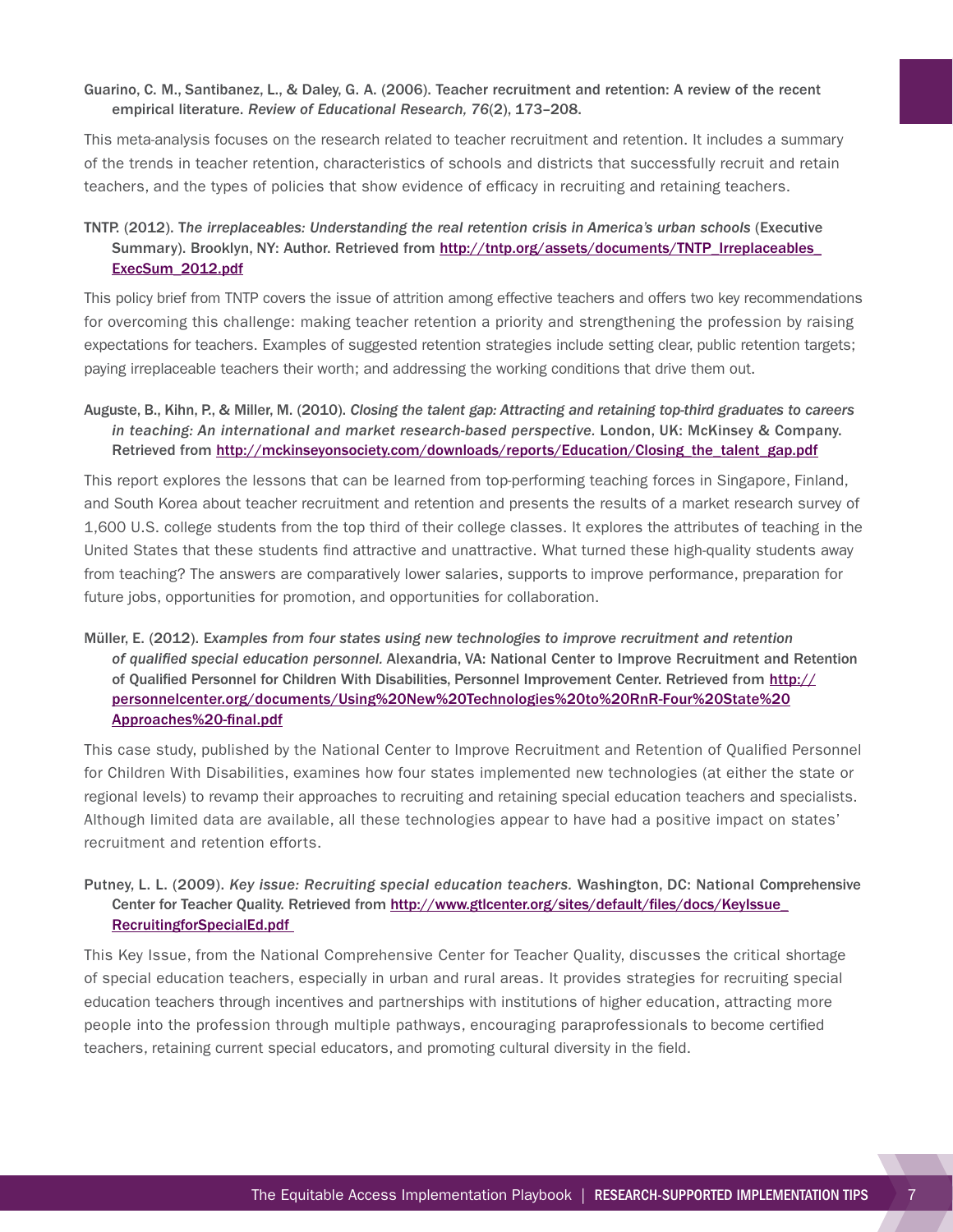#### Guarino, C. M., Santibanez, L., & Daley, G. A. (2006). Teacher recruitment and retention: A review of the recent empirical literature. *Review of Educational Research, 76*(2), 173–208.

This meta-analysis focuses on the research related to teacher recruitment and retention. It includes a summary of the trends in teacher retention, characteristics of schools and districts that successfully recruit and retain teachers, and the types of policies that show evidence of efficacy in recruiting and retaining teachers.

### TNTP. (2012). T*he irreplaceables: Understanding the real retention crisis in America's urban schools* (Executive Summary). Brooklyn, NY: Author. Retrieved from [http://tntp.org/assets/documents/TNTP\\_Irreplaceables\\_](http://tntp.org/assets/documents/TNTP_Irreplaceables_ExecSum_2012.pdf) [ExecSum\\_2012.pdf](http://tntp.org/assets/documents/TNTP_Irreplaceables_ExecSum_2012.pdf)

This policy brief from TNTP covers the issue of attrition among effective teachers and offers two key recommendations for overcoming this challenge: making teacher retention a priority and strengthening the profession by raising expectations for teachers. Examples of suggested retention strategies include setting clear, public retention targets; paying irreplaceable teachers their worth; and addressing the working conditions that drive them out.

### Auguste, B., Kihn, P., & Miller, M. (2010). *Closing the talent gap: Attracting and retaining top-third graduates to careers*  in teaching: An international and market research-based perspective. London, UK: McKinsey & Company. Retrieved from http://mckinseyonsociety.com/downloads/reports/Education/Closing the talent gap.pdf

This report explores the lessons that can be learned from top-performing teaching forces in Singapore, Finland, and South Korea about teacher recruitment and retention and presents the results of a market research survey of 1,600 U.S. college students from the top third of their college classes. It explores the attributes of teaching in the United States that these students find attractive and unattractive. What turned these high-quality students away from teaching? The answers are comparatively lower salaries, supports to improve performance, preparation for future jobs, opportunities for promotion, and opportunities for collaboration.

### Müller, E. (2012). E*xamples from four states using new technologies to improve recruitment and retention of qualified special education personnel.* Alexandria, VA: National Center to Improve Recruitment and Retention of Qualified Personnel for Children With Disabilities, Personnel Improvement Center. Retrieved from [http://](http://personnelcenter.org/documents/Using%20New%20Technologies%20to%20RnR-Four%20State%20Approaches%20-final.pdf) [personnelcenter.org/documents/Using%20New%20Technologies%20to%20RnR-Four%20State%20](http://personnelcenter.org/documents/Using%20New%20Technologies%20to%20RnR-Four%20State%20Approaches%20-final.pdf) [Approaches%20-final.pdf](http://personnelcenter.org/documents/Using%20New%20Technologies%20to%20RnR-Four%20State%20Approaches%20-final.pdf)

This case study, published by the National Center to Improve Recruitment and Retention of Qualified Personnel for Children With Disabilities, examines how four states implemented new technologies (at either the state or regional levels) to revamp their approaches to recruiting and retaining special education teachers and specialists. Although limited data are available, all these technologies appear to have had a positive impact on states' recruitment and retention efforts.

### Putney, L. L. (2009). *Key issue: Recruiting special education teachers.* Washington, DC: National Comprehensive Center for Teacher Quality. Retrieved from [http://www.gtlcenter.org/sites/default/files/docs/KeyIssue\\_](http://www.gtlcenter.org/sites/default/files/docs/KeyIssue_RecruitingforSpecialEd.pdf) [RecruitingforSpecialEd.pdf](http://www.gtlcenter.org/sites/default/files/docs/KeyIssue_RecruitingforSpecialEd.pdf)

This Key Issue, from the National Comprehensive Center for Teacher Quality, discusses the critical shortage of special education teachers, especially in urban and rural areas. It provides strategies for recruiting special education teachers through incentives and partnerships with institutions of higher education, attracting more people into the profession through multiple pathways, encouraging paraprofessionals to become certified teachers, retaining current special educators, and promoting cultural diversity in the field.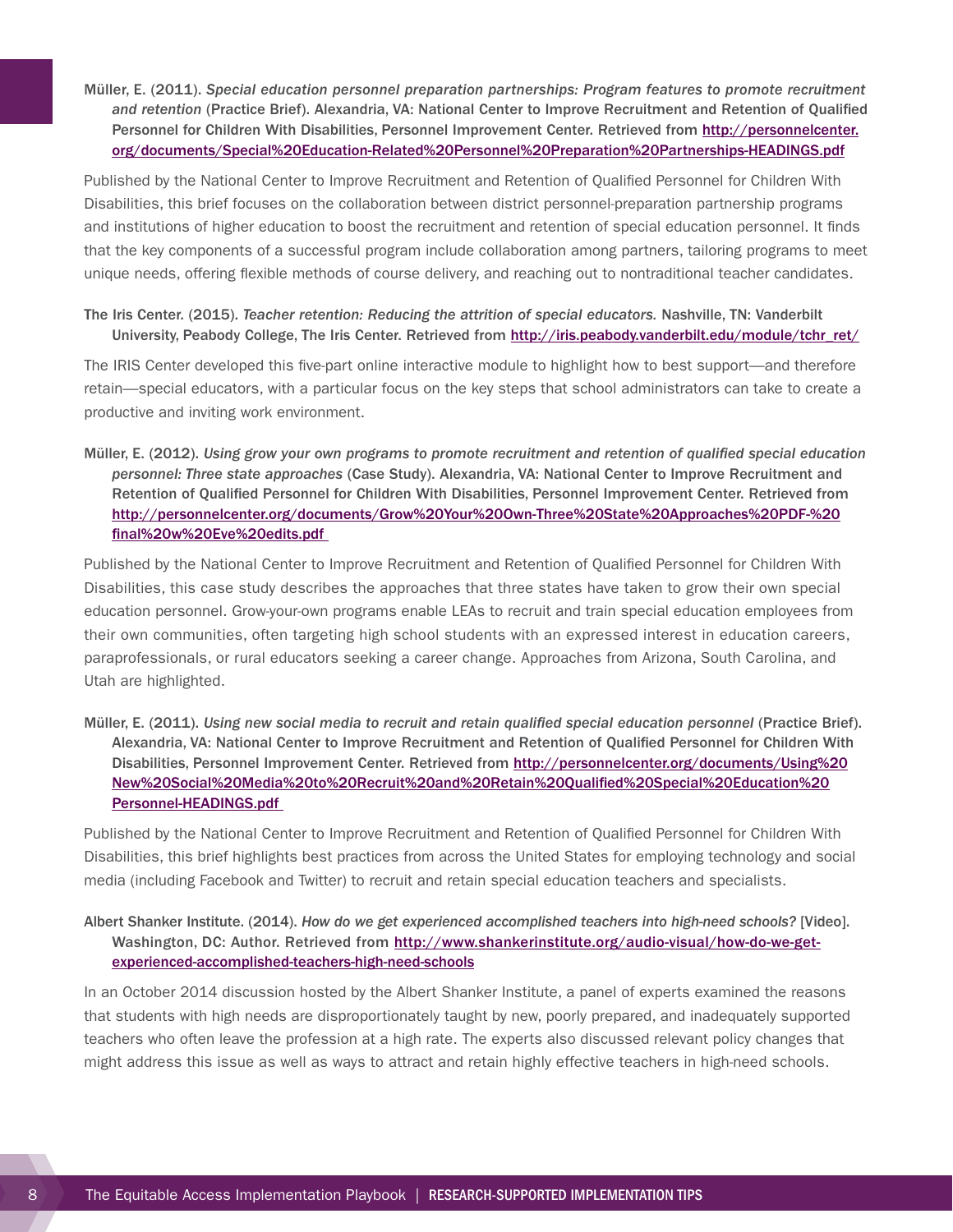Müller, E. (2011). *Special education personnel preparation partnerships: Program features to promote recruitment and retention* (Practice Brief). Alexandria, VA: National Center to Improve Recruitment and Retention of Qualified Personnel for Children With Disabilities, Personnel Improvement Center. Retrieved from [http://personnelcenter.](http://personnelcenter.org/documents/Special%20Education-Related%20Personnel%20Preparation%20Partnerships-HEADINGS.pdf) [org/documents/Special%20Education-Related%20Personnel%20Preparation%20Partnerships-HEADINGS.pdf](http://personnelcenter.org/documents/Special%20Education-Related%20Personnel%20Preparation%20Partnerships-HEADINGS.pdf)

Published by the National Center to Improve Recruitment and Retention of Qualified Personnel for Children With Disabilities, this brief focuses on the collaboration between district personnel-preparation partnership programs and institutions of higher education to boost the recruitment and retention of special education personnel. It finds that the key components of a successful program include collaboration among partners, tailoring programs to meet unique needs, offering flexible methods of course delivery, and reaching out to nontraditional teacher candidates.

The Iris Center. (2015). *Teacher retention: Reducing the attrition of special educators.* Nashville, TN: Vanderbilt University, Peabody College, The Iris Center. Retrieved from [http://iris.peabody.vanderbilt.edu/module/tchr\\_ret/](http://iris.peabody.vanderbilt.edu/module/tchr_ret/)

The IRIS Center developed this five-part online interactive module to highlight how to best support—and therefore retain—special educators, with a particular focus on the key steps that school administrators can take to create a productive and inviting work environment.

Müller, E. (2012). *Using grow your own programs to promote recruitment and retention of qualified special education personnel: Three state approaches* (Case Study). Alexandria, VA: National Center to Improve Recruitment and Retention of Qualified Personnel for Children With Disabilities, Personnel Improvement Center. Retrieved from [http://personnelcenter.org/documents/Grow%20Your%20Own-Three%20State%20Approaches%20PDF-%20](http://personnelcenter.org/documents/Grow%20Your%20Own-Three%20State%20Approaches%20PDF-%20final%20w%20Eve%20edits.pdf) [final%20w%20Eve%20edits.pdf](http://personnelcenter.org/documents/Grow%20Your%20Own-Three%20State%20Approaches%20PDF-%20final%20w%20Eve%20edits.pdf)

Published by the National Center to Improve Recruitment and Retention of Qualified Personnel for Children With Disabilities, this case study describes the approaches that three states have taken to grow their own special education personnel. Grow-your-own programs enable LEAs to recruit and train special education employees from their own communities, often targeting high school students with an expressed interest in education careers, paraprofessionals, or rural educators seeking a career change. Approaches from Arizona, South Carolina, and Utah are highlighted.

Müller, E. (2011). *Using new social media to recruit and retain qualified special education personnel* (Practice Brief). Alexandria, VA: National Center to Improve Recruitment and Retention of Qualified Personnel for Children With Disabilities, Personnel Improvement Center. Retrieved from [http://personnelcenter.org/documents/Using%20](http://personnelcenter.org/documents/Using%20New%20Social%20Media%20to%20Recruit%20and%20Retain%20Qualified%20Special%20Education%20Personnel-HEADINGS.pdf) [New%20Social%20Media%20to%20Recruit%20and%20Retain%20Qualified%20Special%20Education%20](http://personnelcenter.org/documents/Using%20New%20Social%20Media%20to%20Recruit%20and%20Retain%20Qualified%20Special%20Education%20Personnel-HEADINGS.pdf) [Personnel-HEADINGS.pdf](http://personnelcenter.org/documents/Using%20New%20Social%20Media%20to%20Recruit%20and%20Retain%20Qualified%20Special%20Education%20Personnel-HEADINGS.pdf)

Published by the National Center to Improve Recruitment and Retention of Qualified Personnel for Children With Disabilities, this brief highlights best practices from across the United States for employing technology and social media (including Facebook and Twitter) to recruit and retain special education teachers and specialists.

Albert Shanker Institute. (2014). *How do we get experienced accomplished teachers into high-need schools?* [Video]. Washington, DC: Author. Retrieved from [http://www.shankerinstitute.org/audio-visual/how-do-we-get](http://www.shankerinstitute.org/audio-visual/how-do-we-get-experienced-accomplished-teachers-high-need-schools)[experienced-accomplished-teachers-high-need-schools](http://www.shankerinstitute.org/audio-visual/how-do-we-get-experienced-accomplished-teachers-high-need-schools)

In an October 2014 discussion hosted by the Albert Shanker Institute, a panel of experts examined the reasons that students with high needs are disproportionately taught by new, poorly prepared, and inadequately supported teachers who often leave the profession at a high rate. The experts also discussed relevant policy changes that might address this issue as well as ways to attract and retain highly effective teachers in high-need schools.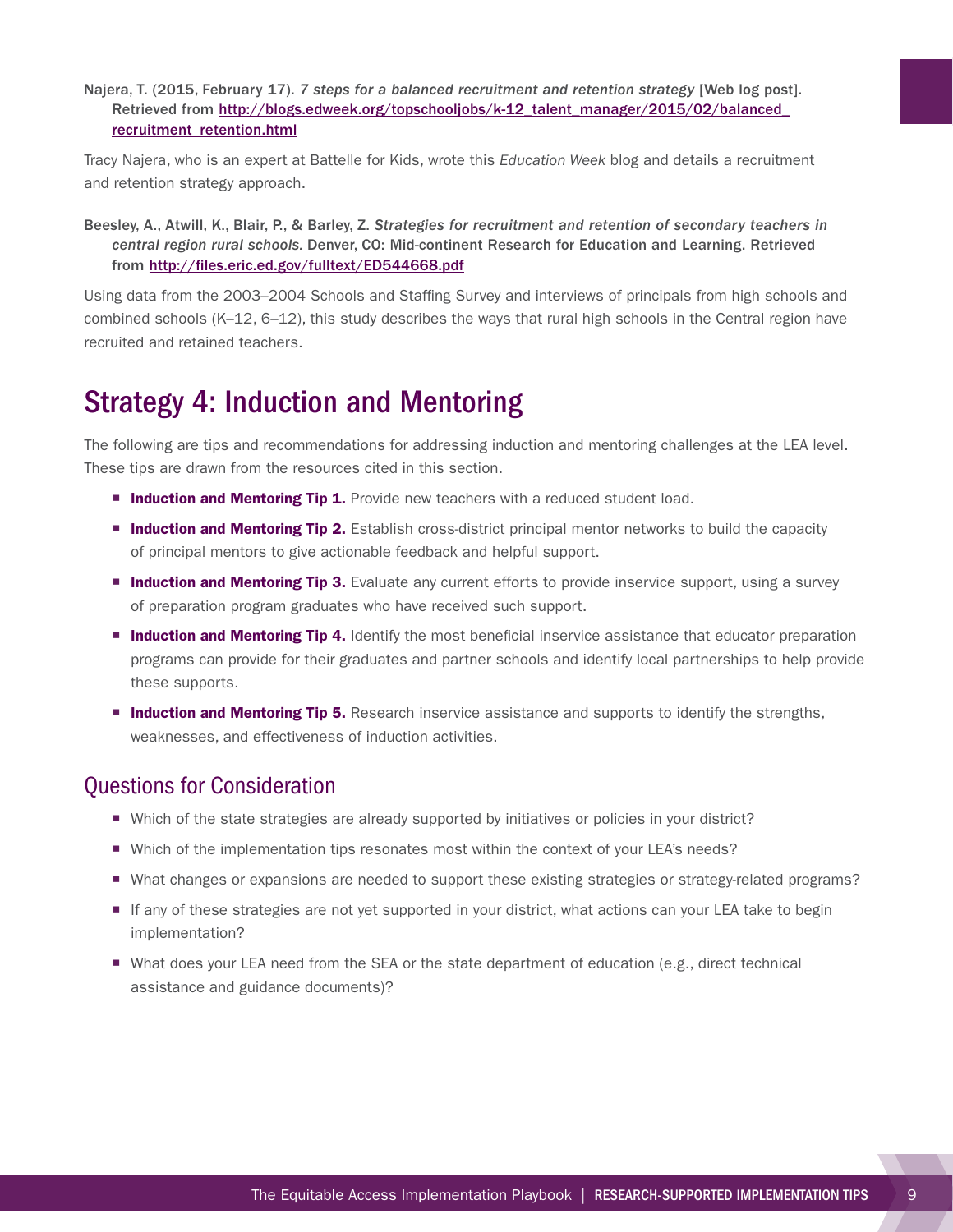<span id="page-12-0"></span>Najera, T. (2015, February 17). *7 steps for a balanced recruitment and retention strategy* [Web log post]. Retrieved from http://blogs.edweek.org/topschooljobs/k-12\_talent\_manager/2015/02/balanced [recruitment\\_retention.html](http://blogs.edweek.org/topschooljobs/k-12_talent_manager/2015/02/balanced_recruitment_retention.html)

Tracy Najera, who is an expert at Battelle for Kids, wrote this *Education Week* blog and details a recruitment and retention strategy approach.

Beesley, A., Atwill, K., Blair, P., & Barley, Z. *Strategies for recruitment and retention of secondary teachers in central region rural schools.* Denver, CO: Mid-continent Research for Education and Learning. Retrieved from <http://files.eric.ed.gov/fulltext/ED544668.pdf>

Using data from the 2003–2004 Schools and Staffing Survey and interviews of principals from high schools and combined schools (K–12, 6–12), this study describes the ways that rural high schools in the Central region have recruited and retained teachers.

## Strategy 4: Induction and Mentoring

The following are tips and recommendations for addressing induction and mentoring challenges at the LEA level. These tips are drawn from the resources cited in this section.

- **Induction and Mentoring Tip 1.** Provide new teachers with a reduced student load.
- **Induction and Mentoring Tip 2.** Establish cross-district principal mentor networks to build the capacity of principal mentors to give actionable feedback and helpful support.
- **Induction and Mentoring Tip 3.** Evaluate any current efforts to provide inservice support, using a survey of preparation program graduates who have received such support.
- **Induction and Mentoring Tip 4.** Identify the most beneficial inservice assistance that educator preparation programs can provide for their graduates and partner schools and identify local partnerships to help provide these supports.
- **Induction and Mentoring Tip 5.** Research inservice assistance and supports to identify the strengths, weaknesses, and effectiveness of induction activities.

- Which of the state strategies are already supported by initiatives or policies in your district?
- Which of the implementation tips resonates most within the context of your LEA's needs?
- ¡ What changes or expansions are needed to support these existing strategies or strategy-related programs?
- If any of these strategies are not yet supported in your district, what actions can your LEA take to begin implementation?
- What does your LEA need from the SEA or the state department of education (e.g., direct technical assistance and guidance documents)?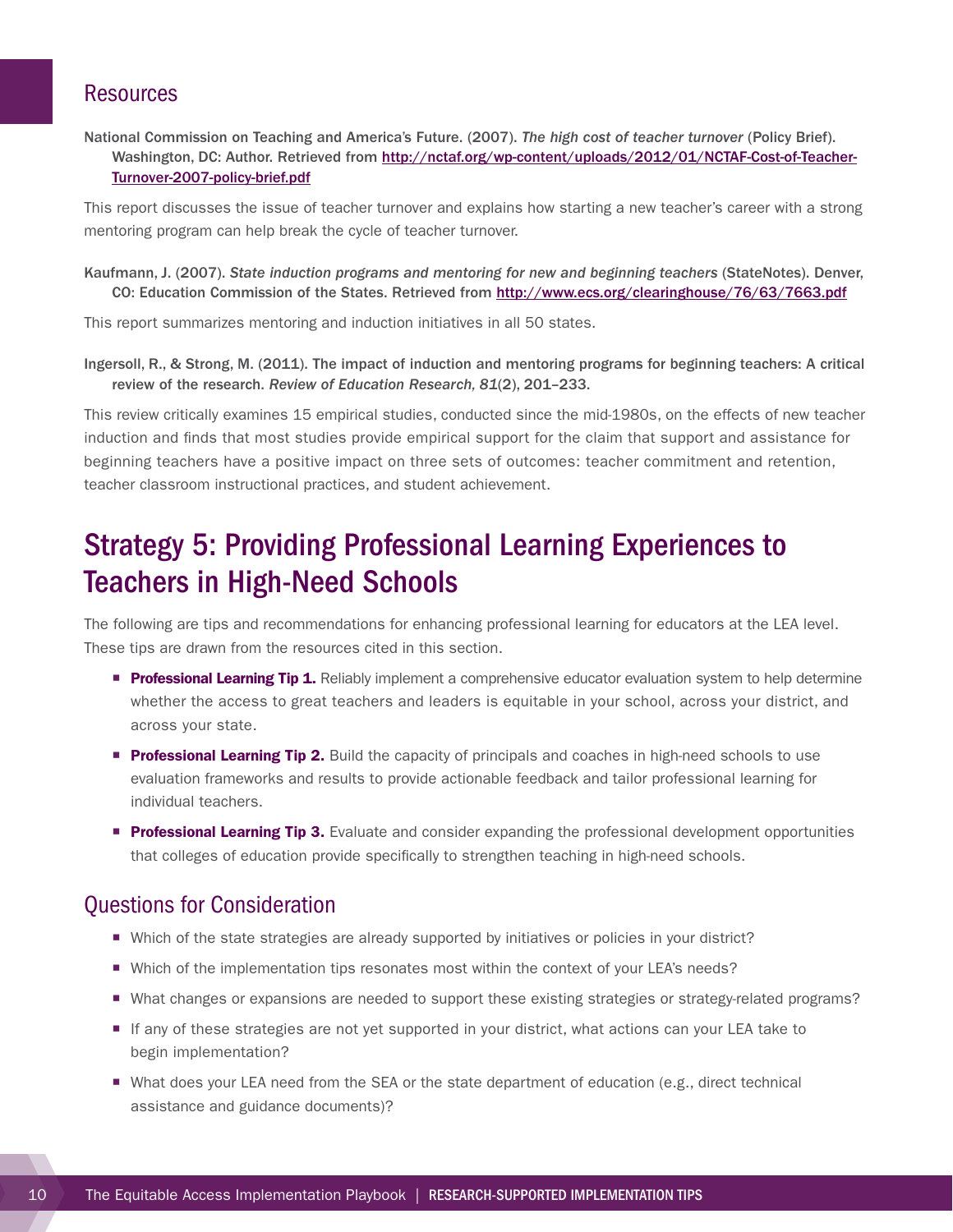<span id="page-13-0"></span>National Commission on Teaching and America's Future. (2007). *The high cost of teacher turnover* (Policy Brief). Washington, DC: Author. Retrieved from [http://nctaf.org/wp-content/uploads/2012/01/NCTAF-Cost-of-Teacher-](http://nctaf.org/wp-content/uploads/2012/01/NCTAF-Cost-of-Teacher-Turnover-2007-policy-brief.pdf)[Turnover-2007-policy-brief.pdf](http://nctaf.org/wp-content/uploads/2012/01/NCTAF-Cost-of-Teacher-Turnover-2007-policy-brief.pdf)

This report discusses the issue of teacher turnover and explains how starting a new teacher's career with a strong mentoring program can help break the cycle of teacher turnover.

Kaufmann, J. (2007). *State induction programs and mentoring for new and beginning teachers* (StateNotes). Denver, CO: Education Commission of the States. Retrieved from<http://www.ecs.org/clearinghouse/76/63/7663.pdf>

This report summarizes mentoring and induction initiatives in all 50 states.

Ingersoll, R., & Strong, M. (2011). The impact of induction and mentoring programs for beginning teachers: A critical review of the research. *Review of Education Research, 81*(2), 201–233.

This review critically examines 15 empirical studies, conducted since the mid-1980s, on the effects of new teacher induction and finds that most studies provide empirical support for the claim that support and assistance for beginning teachers have a positive impact on three sets of outcomes: teacher commitment and retention, teacher classroom instructional practices, and student achievement.

## Strategy 5: Providing Professional Learning Experiences to Teachers in High-Need Schools

The following are tips and recommendations for enhancing professional learning for educators at the LEA level. These tips are drawn from the resources cited in this section.

- **Professional Learning Tip 1.** Reliably implement a comprehensive educator evaluation system to help determine whether the access to great teachers and leaders is equitable in your school, across your district, and across your state.
- **Professional Learning Tip 2.** Build the capacity of principals and coaches in high-need schools to use evaluation frameworks and results to provide actionable feedback and tailor professional learning for individual teachers.
- **Professional Learning Tip 3.** Evaluate and consider expanding the professional development opportunities that colleges of education provide specifically to strengthen teaching in high-need schools.

- Which of the state strategies are already supported by initiatives or policies in your district?
- Which of the implementation tips resonates most within the context of your LEA's needs?
- ¡ What changes or expansions are needed to support these existing strategies or strategy-related programs?
- If any of these strategies are not yet supported in your district, what actions can your LEA take to begin implementation?
- What does your LEA need from the SEA or the state department of education (e.g., direct technical assistance and guidance documents)?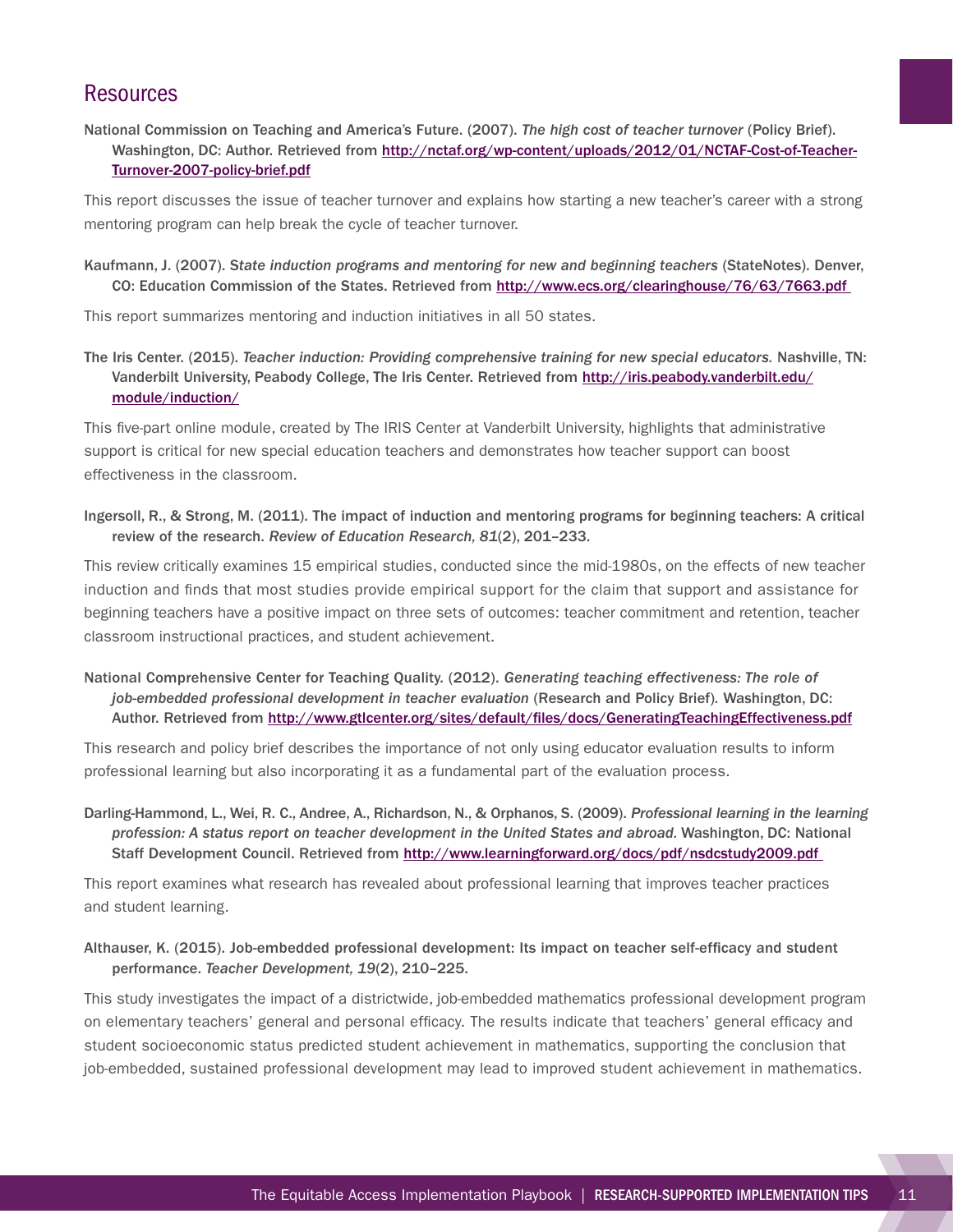National Commission on Teaching and America's Future. (2007). *The high cost of teacher turnover* (Policy Brief). Washington, DC: Author. Retrieved from [http://nctaf.org/wp-content/uploads/2012/01/NCTAF-Cost-of-Teacher-](http://nctaf.org/wp-content/uploads/2012/01/NCTAF-Cost-of-Teacher-Turnover-2007-policy-brief.pdf)[Turnover-2007-policy-brief.pdf](http://nctaf.org/wp-content/uploads/2012/01/NCTAF-Cost-of-Teacher-Turnover-2007-policy-brief.pdf)

This report discusses the issue of teacher turnover and explains how starting a new teacher's career with a strong mentoring program can help break the cycle of teacher turnover.

Kaufmann, J. (2007). S*tate induction programs and mentoring for new and beginning teachers* (StateNotes). Denver, CO: Education Commission of the States. Retrieved from<http://www.ecs.org/clearinghouse/76/63/7663.pdf>

This report summarizes mentoring and induction initiatives in all 50 states.

The Iris Center. (2015). *Teacher induction: Providing comprehensive training for new special educators.* Nashville, TN: Vanderbilt University, Peabody College, The Iris Center. Retrieved from [http://iris.peabody.vanderbilt.edu/](http://iris.peabody.vanderbilt.edu/module/induction/) [module/induction/](http://iris.peabody.vanderbilt.edu/module/induction/)

This five-part online module, created by The IRIS Center at Vanderbilt University, highlights that administrative support is critical for new special education teachers and demonstrates how teacher support can boost effectiveness in the classroom.

Ingersoll, R., & Strong, M. (2011). The impact of induction and mentoring programs for beginning teachers: A critical review of the research. *Review of Education Research, 81*(2), 201–233.

This review critically examines 15 empirical studies, conducted since the mid-1980s, on the effects of new teacher induction and finds that most studies provide empirical support for the claim that support and assistance for beginning teachers have a positive impact on three sets of outcomes: teacher commitment and retention, teacher classroom instructional practices, and student achievement.

National Comprehensive Center for Teaching Quality. (2012). *Generating teaching effectiveness: The role of job-embedded professional development in teacher evaluation* (Research and Policy Brief)*.* Washington, DC: Author. Retrieved from<http://www.gtlcenter.org/sites/default/files/docs/GeneratingTeachingEffectiveness.pdf>

This research and policy brief describes the importance of not only using educator evaluation results to inform professional learning but also incorporating it as a fundamental part of the evaluation process.

Darling-Hammond, L., Wei, R. C., Andree, A., Richardson, N., & Orphanos, S. (2009). *Professional learning in the learning profession: A status report on teacher development in the United States and abroad.* Washington, DC: National Staff Development Council. Retrieved from<http://www.learningforward.org/docs/pdf/nsdcstudy2009.pdf>

This report examines what research has revealed about professional learning that improves teacher practices and student learning.

Althauser, K. (2015). Job-embedded professional development: Its impact on teacher self-efficacy and student performance. *Teacher Development, 19*(2), 210–225.

This study investigates the impact of a districtwide, job-embedded mathematics professional development program on elementary teachers' general and personal efficacy. The results indicate that teachers' general efficacy and student socioeconomic status predicted student achievement in mathematics, supporting the conclusion that job-embedded, sustained professional development may lead to improved student achievement in mathematics.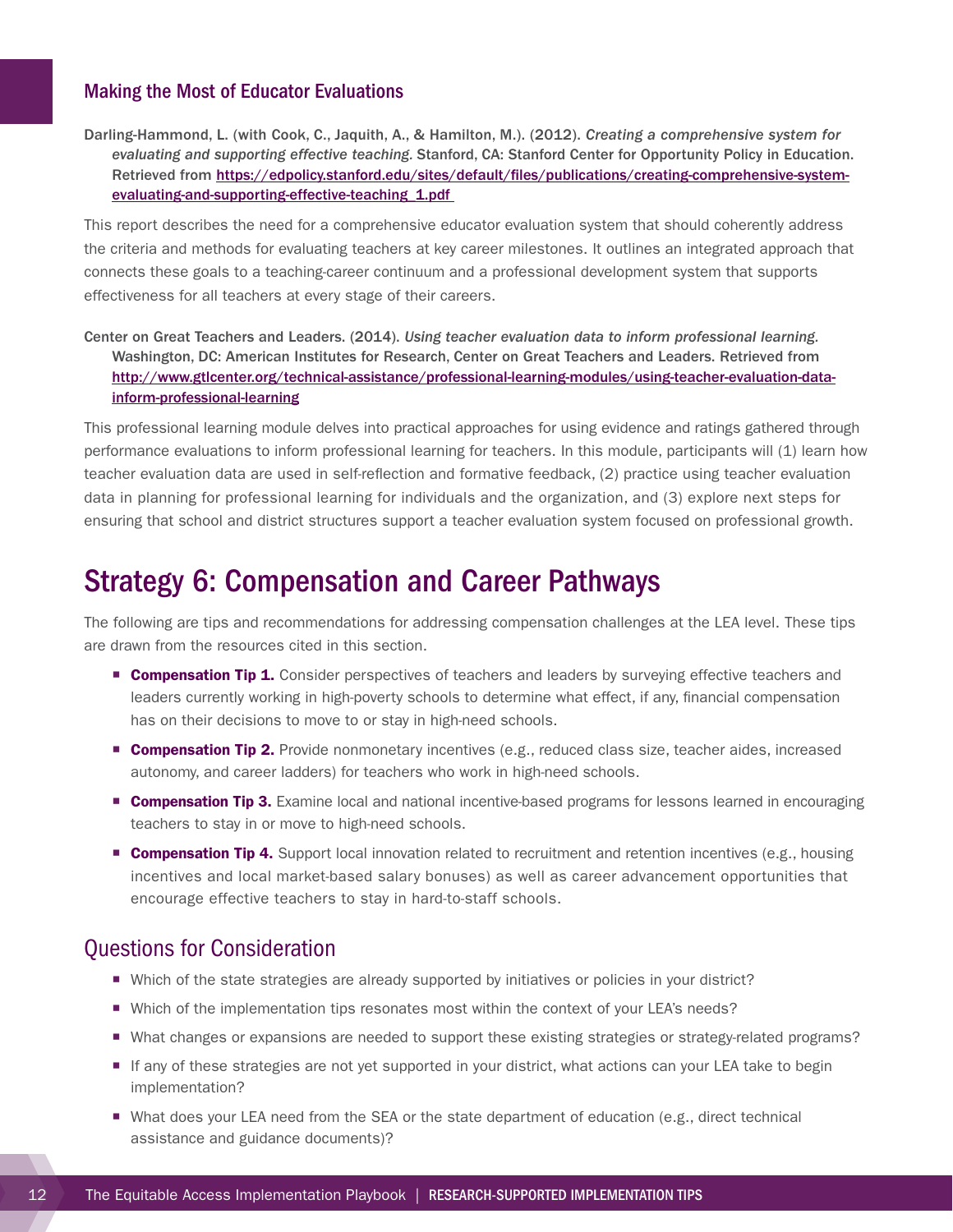### <span id="page-15-0"></span>Making the Most of Educator Evaluations

Darling-Hammond, L. (with Cook, C., Jaquith, A., & Hamilton, M.). (2012). *Creating a comprehensive system for evaluating and supporting effective teaching.* Stanford, CA: Stanford Center for Opportunity Policy in Education. Retrieved from [https://edpolicy.stanford.edu/sites/default/files/publications/creating-comprehensive-system](https://edpolicy.stanford.edu/sites/default/files/publications/creating-comprehensive-system-evaluating-and-supporting-effective-teaching_1.pdf)[evaluating-and-supporting-effective-teaching\\_1.pdf](https://edpolicy.stanford.edu/sites/default/files/publications/creating-comprehensive-system-evaluating-and-supporting-effective-teaching_1.pdf)

This report describes the need for a comprehensive educator evaluation system that should coherently address the criteria and methods for evaluating teachers at key career milestones. It outlines an integrated approach that connects these goals to a teaching-career continuum and a professional development system that supports effectiveness for all teachers at every stage of their careers.

Center on Great Teachers and Leaders. (2014). *Using teacher evaluation data to inform professional learning.*  Washington, DC: American Institutes for Research, Center on Great Teachers and Leaders. Retrieved from [http://www.gtlcenter.org/technical-assistance/professional-learning-modules/using-teacher-evaluation-data](http://www.gtlcenter.org/technical-assistance/professional-learning-modules/using-teacher-evaluation-data-inform-professional-learning)[inform-professional-learning](http://www.gtlcenter.org/technical-assistance/professional-learning-modules/using-teacher-evaluation-data-inform-professional-learning)

This professional learning module delves into practical approaches for using evidence and ratings gathered through performance evaluations to inform professional learning for teachers. In this module, participants will (1) learn how teacher evaluation data are used in self-reflection and formative feedback, (2) practice using teacher evaluation data in planning for professional learning for individuals and the organization, and (3) explore next steps for ensuring that school and district structures support a teacher evaluation system focused on professional growth.

## Strategy 6: Compensation and Career Pathways

The following are tips and recommendations for addressing compensation challenges at the LEA level. These tips are drawn from the resources cited in this section.

- **Compensation Tip 1.** Consider perspectives of teachers and leaders by surveying effective teachers and leaders currently working in high-poverty schools to determine what effect, if any, financial compensation has on their decisions to move to or stay in high-need schools.
- **Compensation Tip 2.** Provide nonmonetary incentives (e.g., reduced class size, teacher aides, increased autonomy, and career ladders) for teachers who work in high-need schools.
- **Compensation Tip 3.** Examine local and national incentive-based programs for lessons learned in encouraging teachers to stay in or move to high-need schools.
- **Compensation Tip 4.** Support local innovation related to recruitment and retention incentives (e.g., housing incentives and local market-based salary bonuses) as well as career advancement opportunities that encourage effective teachers to stay in hard-to-staff schools.

- Which of the state strategies are already supported by initiatives or policies in your district?
- Which of the implementation tips resonates most within the context of your LEA's needs?
- What changes or expansions are needed to support these existing strategies or strategy-related programs?
- ¡ If any of these strategies are not yet supported in your district, what actions can your LEA take to begin implementation?
- What does your LEA need from the SEA or the state department of education (e.g., direct technical assistance and guidance documents)?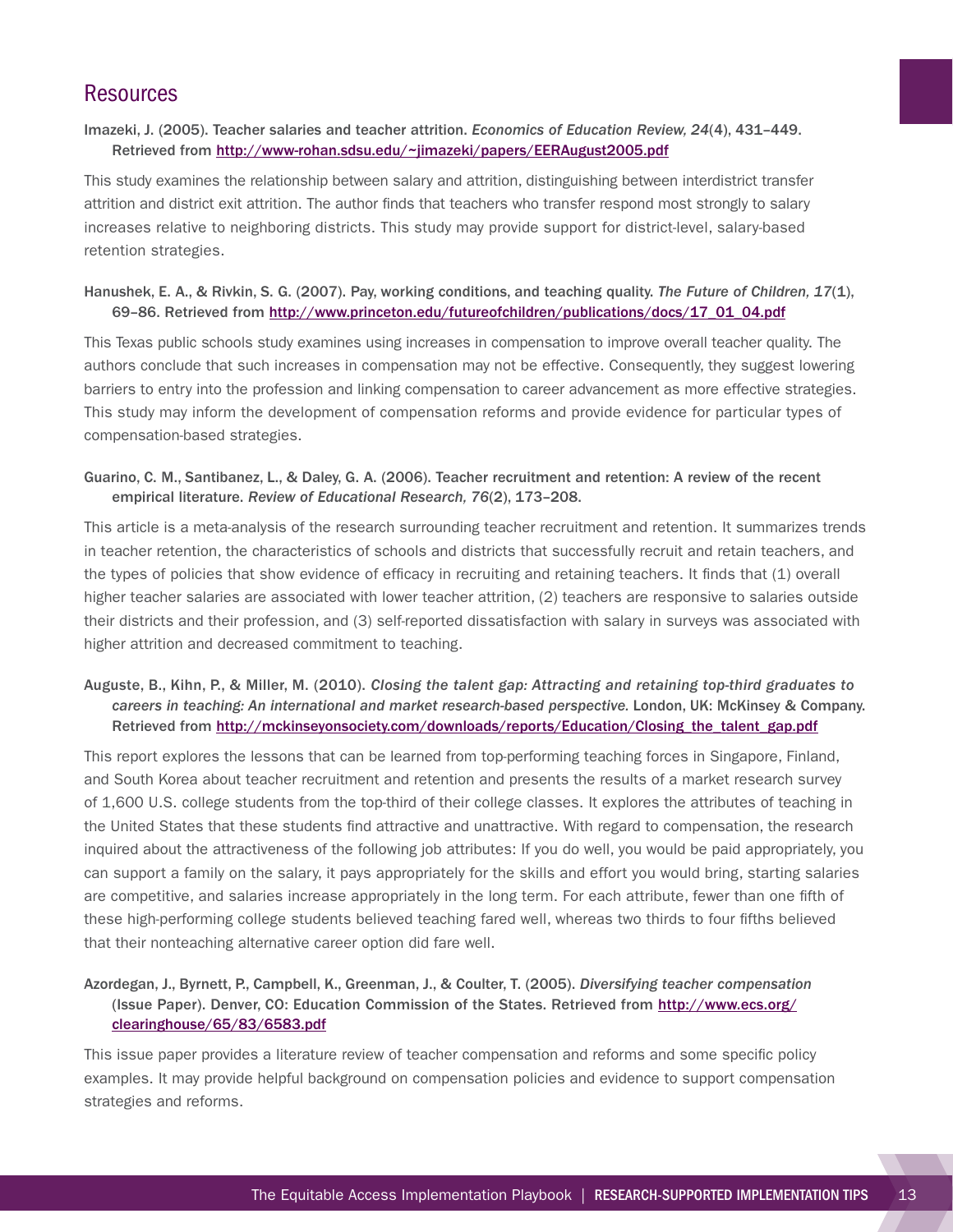### Imazeki, J. (2005). Teacher salaries and teacher attrition. *Economics of Education Review, 24*(4), 431–449. Retrieved from<http://www-rohan.sdsu.edu/~jimazeki/papers/EERAugust2005.pdf>

This study examines the relationship between salary and attrition, distinguishing between interdistrict transfer attrition and district exit attrition. The author finds that teachers who transfer respond most strongly to salary increases relative to neighboring districts. This study may provide support for district-level, salary-based retention strategies.

### Hanushek, E. A., & Rivkin, S. G. (2007). Pay, working conditions, and teaching quality. *The Future of Children, 17*(1), 69–86. Retrieved from [http://www.princeton.edu/futureofchildren/publications/docs/17\\_01\\_04.pdf](http://www.princeton.edu/futureofchildren/publications/docs/17_01_04.pdf)

This Texas public schools study examines using increases in compensation to improve overall teacher quality. The authors conclude that such increases in compensation may not be effective. Consequently, they suggest lowering barriers to entry into the profession and linking compensation to career advancement as more effective strategies. This study may inform the development of compensation reforms and provide evidence for particular types of compensation-based strategies.

### Guarino, C. M., Santibanez, L., & Daley, G. A. (2006). Teacher recruitment and retention: A review of the recent empirical literature. *Review of Educational Research, 76*(2), 173–208.

This article is a meta-analysis of the research surrounding teacher recruitment and retention. It summarizes trends in teacher retention, the characteristics of schools and districts that successfully recruit and retain teachers, and the types of policies that show evidence of efficacy in recruiting and retaining teachers. It finds that (1) overall higher teacher salaries are associated with lower teacher attrition, (2) teachers are responsive to salaries outside their districts and their profession, and (3) self-reported dissatisfaction with salary in surveys was associated with higher attrition and decreased commitment to teaching.

### Auguste, B., Kihn, P., & Miller, M. (2010). *Closing the talent gap: Attracting and retaining top-third graduates to careers in teaching: An international and market research-based perspective.* London, UK: McKinsey & Company. Retrieved from http://mckinseyonsociety.com/downloads/reports/Education/Closing the talent gap.pdf

This report explores the lessons that can be learned from top-performing teaching forces in Singapore, Finland, and South Korea about teacher recruitment and retention and presents the results of a market research survey of 1,600 U.S. college students from the top-third of their college classes. It explores the attributes of teaching in the United States that these students find attractive and unattractive. With regard to compensation, the research inquired about the attractiveness of the following job attributes: If you do well, you would be paid appropriately, you can support a family on the salary, it pays appropriately for the skills and effort you would bring, starting salaries are competitive, and salaries increase appropriately in the long term. For each attribute, fewer than one fifth of these high-performing college students believed teaching fared well, whereas two thirds to four fifths believed that their nonteaching alternative career option did fare well.

### Azordegan, J., Byrnett, P., Campbell, K., Greenman, J., & Coulter, T. (2005). *Diversifying teacher compensation* (Issue Paper). Denver, CO: Education Commission of the States. Retrieved from [http://www.ecs.org/](http://www.ecs.org/clearinghouse/65/83/6583.pdf) [clearinghouse/65/83/6583.pdf](http://www.ecs.org/clearinghouse/65/83/6583.pdf)

This issue paper provides a literature review of teacher compensation and reforms and some specific policy examples. It may provide helpful background on compensation policies and evidence to support compensation strategies and reforms.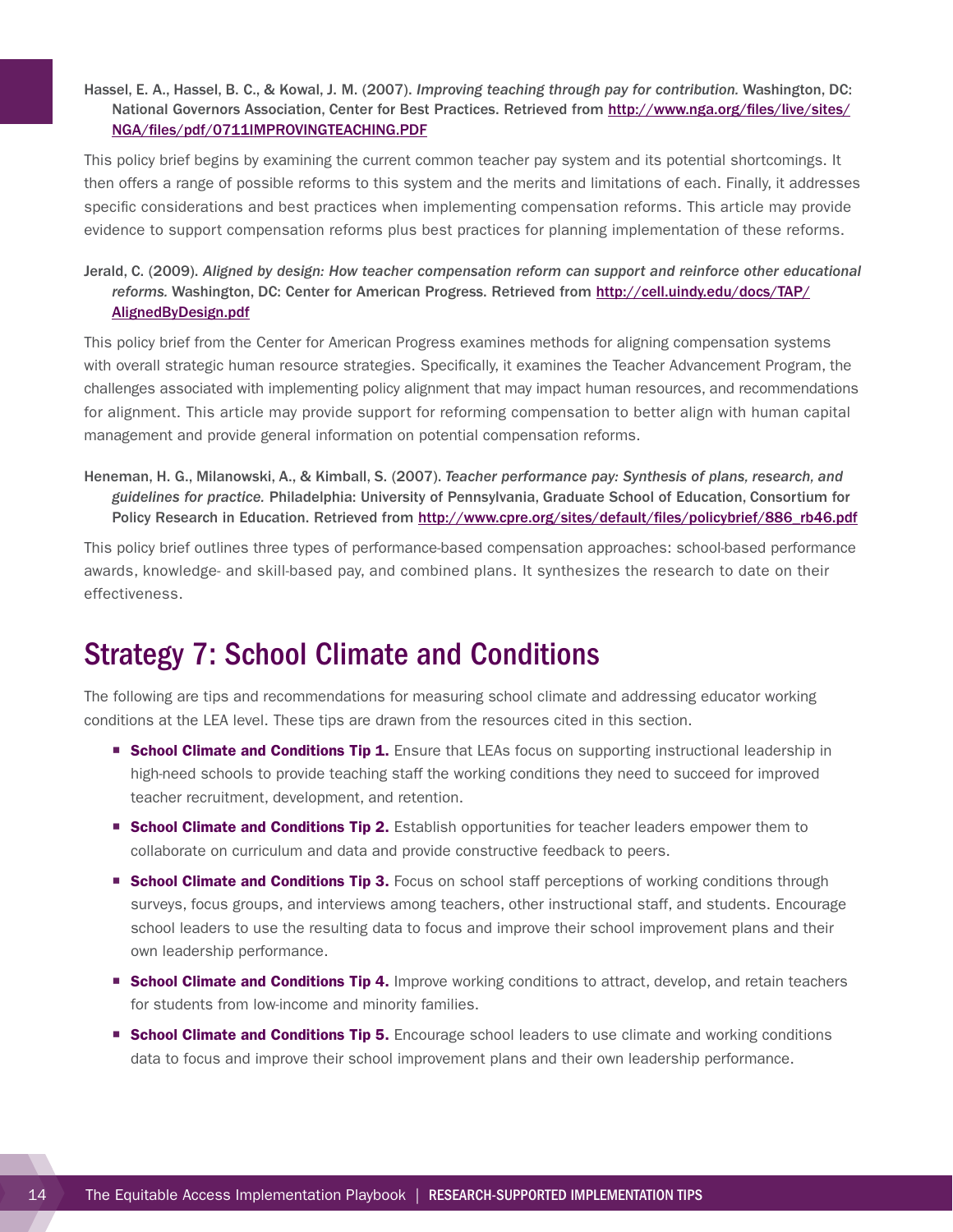### <span id="page-17-0"></span>Hassel, E. A., Hassel, B. C., & Kowal, J. M. (2007). *Improving teaching through pay for contribution.* Washington, DC: National Governors Association, Center for Best Practices. Retrieved from [http://www.nga.org/files/live/sites/](http://www.nga.org/files/live/sites/NGA/files/pdf/0711IMPROVINGTEACHING.PDF) [NGA/files/pdf/0711IMPROVINGTEACHING.PDF](http://www.nga.org/files/live/sites/NGA/files/pdf/0711IMPROVINGTEACHING.PDF)

This policy brief begins by examining the current common teacher pay system and its potential shortcomings. It then offers a range of possible reforms to this system and the merits and limitations of each. Finally, it addresses specific considerations and best practices when implementing compensation reforms. This article may provide evidence to support compensation reforms plus best practices for planning implementation of these reforms.

### Jerald, C. (2009). *Aligned by design: How teacher compensation reform can support and reinforce other educational reforms.* Washington, DC: Center for American Progress. Retrieved from [http://cell.uindy.edu/docs/TAP/](http://cell.uindy.edu/docs/TAP/AlignedByDesign.pdf) [AlignedByDesign.pdf](http://cell.uindy.edu/docs/TAP/AlignedByDesign.pdf)

This policy brief from the Center for American Progress examines methods for aligning compensation systems with overall strategic human resource strategies. Specifically, it examines the Teacher Advancement Program, the challenges associated with implementing policy alignment that may impact human resources, and recommendations for alignment. This article may provide support for reforming compensation to better align with human capital management and provide general information on potential compensation reforms.

Heneman, H. G., Milanowski, A., & Kimball, S. (2007). *Teacher performance pay: Synthesis of plans, research, and guidelines for practice.* Philadelphia: University of Pennsylvania, Graduate School of Education, Consortium for Policy Research in Education. Retrieved from [http://www.cpre.org/sites/default/files/policybrief/886\\_rb46.pdf](http://www.cpre.org/sites/default/files/policybrief/886_rb46.pdf)

This policy brief outlines three types of performance-based compensation approaches: school-based performance awards, knowledge- and skill-based pay, and combined plans. It synthesizes the research to date on their effectiveness.

## Strategy 7: School Climate and Conditions

The following are tips and recommendations for measuring school climate and addressing educator working conditions at the LEA level. These tips are drawn from the resources cited in this section.

- **School Climate and Conditions Tip 1.** Ensure that LEAs focus on supporting instructional leadership in high-need schools to provide teaching staff the working conditions they need to succeed for improved teacher recruitment, development, and retention.
- **School Climate and Conditions Tip 2.** Establish opportunities for teacher leaders empower them to collaborate on curriculum and data and provide constructive feedback to peers.
- **School Climate and Conditions Tip 3.** Focus on school staff perceptions of working conditions through surveys, focus groups, and interviews among teachers, other instructional staff, and students. Encourage school leaders to use the resulting data to focus and improve their school improvement plans and their own leadership performance.
- **Example 2 School Climate and Conditions Tip 4.** Improve working conditions to attract, develop, and retain teachers for students from low-income and minority families.
- **E** School Climate and Conditions Tip 5. Encourage school leaders to use climate and working conditions data to focus and improve their school improvement plans and their own leadership performance.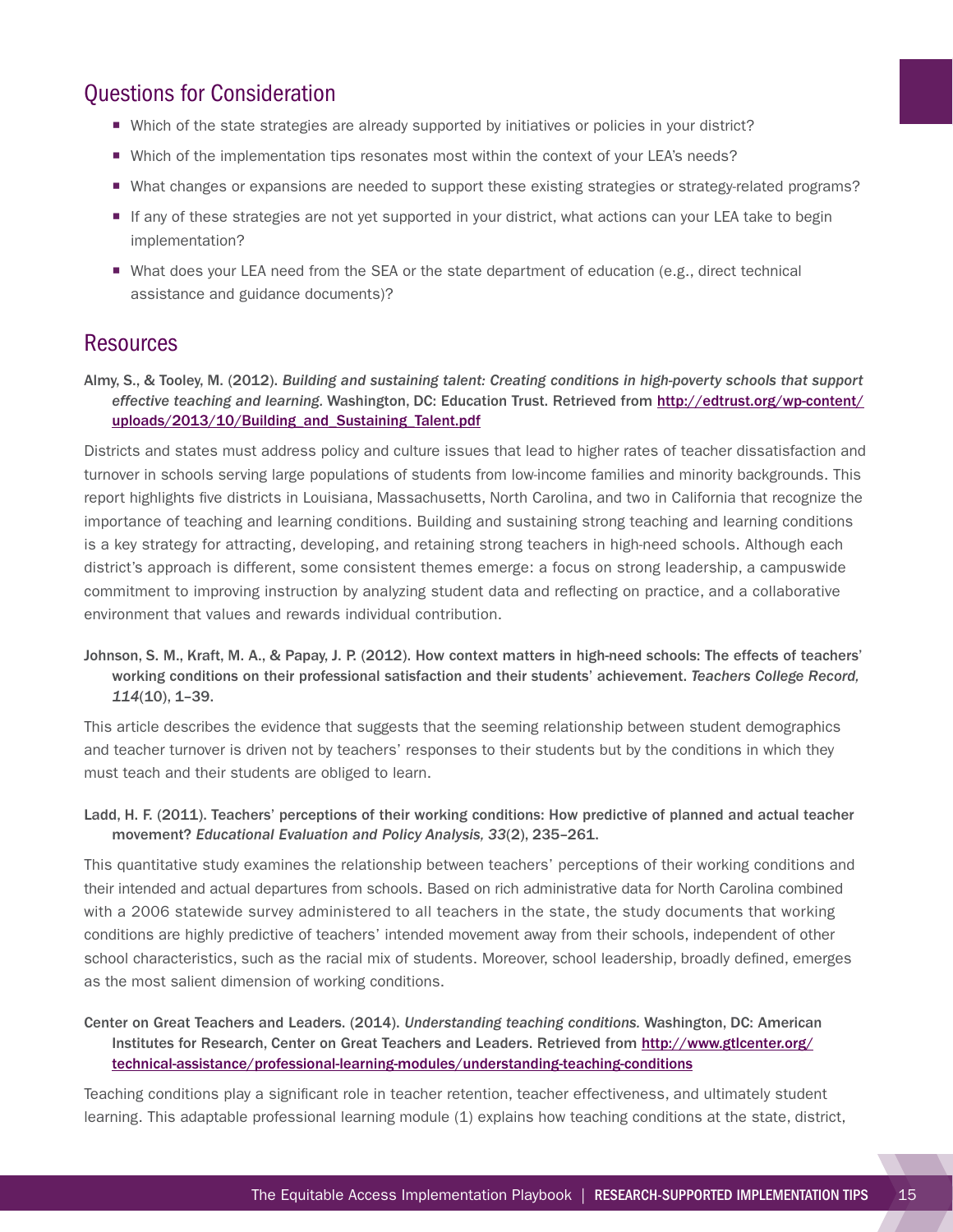## Questions for Consideration

- Which of the state strategies are already supported by initiatives or policies in your district?
- Which of the implementation tips resonates most within the context of your LEA's needs?
- ¡ What changes or expansions are needed to support these existing strategies or strategy-related programs?
- ¡ If any of these strategies are not yet supported in your district, what actions can your LEA take to begin implementation?
- What does your LEA need from the SEA or the state department of education (e.g., direct technical assistance and guidance documents)?

### **Resources**

Almy, S., & Tooley, M. (2012). *Building and sustaining talent: Creating conditions in high-poverty schools that support effective teaching and learning.* Washington, DC: Education Trust. Retrieved from [http://edtrust.org/wp-content/](http://edtrust.org/wp-content/uploads/2013/10/Building_and_Sustaining_Talent.pdf) [uploads/2013/10/Building\\_and\\_Sustaining\\_Talent.pdf](http://edtrust.org/wp-content/uploads/2013/10/Building_and_Sustaining_Talent.pdf)

Districts and states must address policy and culture issues that lead to higher rates of teacher dissatisfaction and turnover in schools serving large populations of students from low-income families and minority backgrounds. This report highlights five districts in Louisiana, Massachusetts, North Carolina, and two in California that recognize the importance of teaching and learning conditions. Building and sustaining strong teaching and learning conditions is a key strategy for attracting, developing, and retaining strong teachers in high-need schools. Although each district's approach is different, some consistent themes emerge: a focus on strong leadership, a campuswide commitment to improving instruction by analyzing student data and reflecting on practice, and a collaborative environment that values and rewards individual contribution.

Johnson, S. M., Kraft, M. A., & Papay, J. P. (2012). How context matters in high-need schools: The effects of teachers' working conditions on their professional satisfaction and their students' achievement. *Teachers College Record, 114*(10), 1–39.

This article describes the evidence that suggests that the seeming relationship between student demographics and teacher turnover is driven not by teachers' responses to their students but by the conditions in which they must teach and their students are obliged to learn.

#### Ladd, H. F. (2011). Teachers' perceptions of their working conditions: How predictive of planned and actual teacher movement? *Educational Evaluation and Policy Analysis, 33*(2), 235–261.

This quantitative study examines the relationship between teachers' perceptions of their working conditions and their intended and actual departures from schools. Based on rich administrative data for North Carolina combined with a 2006 statewide survey administered to all teachers in the state, the study documents that working conditions are highly predictive of teachers' intended movement away from their schools, independent of other school characteristics, such as the racial mix of students. Moreover, school leadership, broadly defined, emerges as the most salient dimension of working conditions.

Center on Great Teachers and Leaders. (2014). *Understanding teaching conditions.* Washington, DC: American Institutes for Research, Center on Great Teachers and Leaders. Retrieved from [http://www.gtlcenter.org/](http://www.gtlcenter.org/technical-assistance/professional-learning-modules/understanding-teaching-conditions) [technical-assistance/professional-learning-modules/understanding-teaching-conditions](http://www.gtlcenter.org/technical-assistance/professional-learning-modules/understanding-teaching-conditions)

Teaching conditions play a significant role in teacher retention, teacher effectiveness, and ultimately student learning. This adaptable professional learning module (1) explains how teaching conditions at the state, district,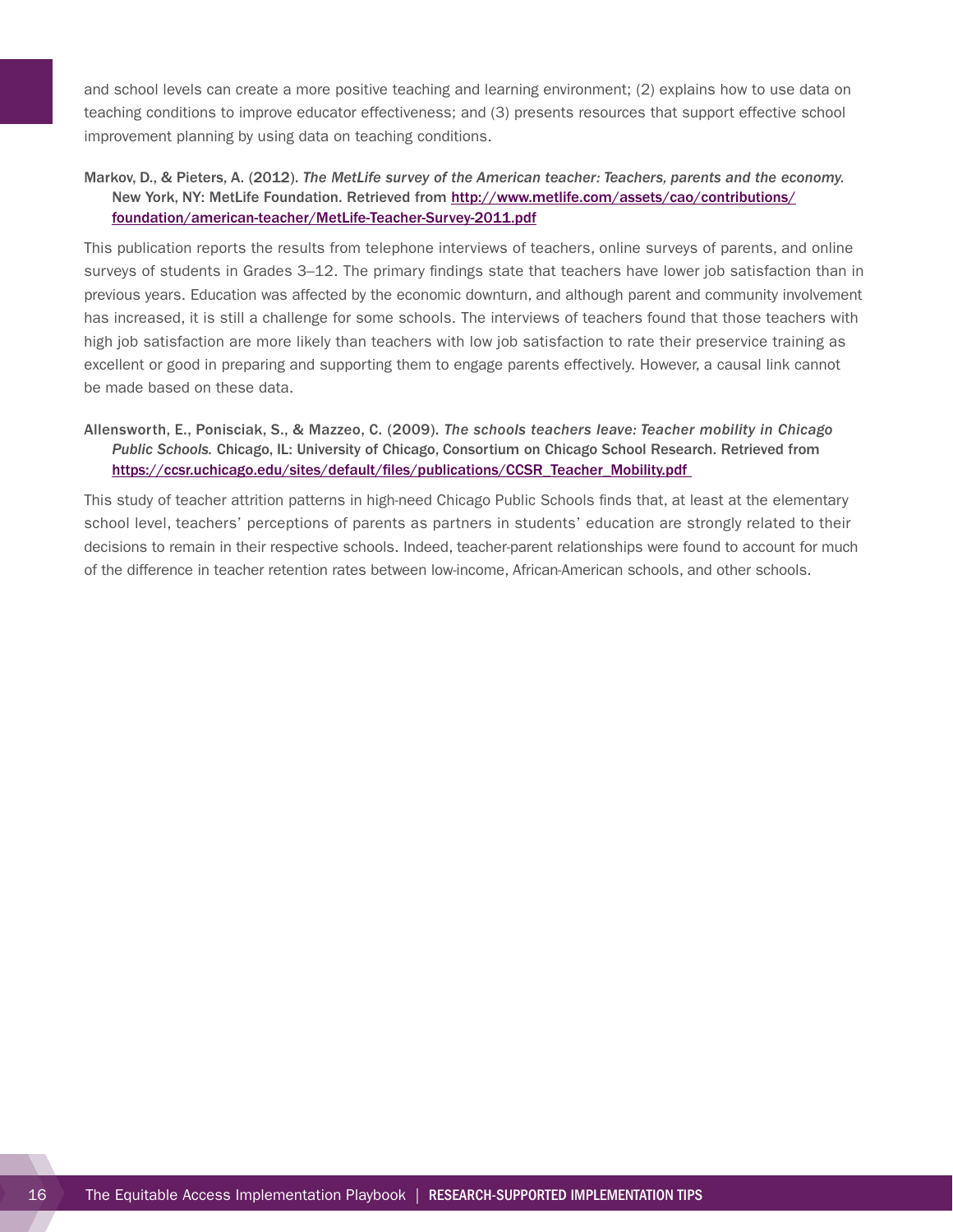and school levels can create a more positive teaching and learning environment; (2) explains how to use data on teaching conditions to improve educator effectiveness; and (3) presents resources that support effective school improvement planning by using data on teaching conditions.

### Markov, D., & Pieters, A. (2012). *The MetLife survey of the American teacher: Teachers, parents and the economy.*  New York, NY: MetLife Foundation. Retrieved from [http://www.metlife.com/assets/cao/contributions/](http://www.metlife.com/assets/cao/contributions/foundation/american-teacher/MetLife-Teacher-Survey-2011.pdf) [foundation/american-teacher/MetLife-Teacher-Survey-2011.pdf](http://www.metlife.com/assets/cao/contributions/foundation/american-teacher/MetLife-Teacher-Survey-2011.pdf)

This publication reports the results from telephone interviews of teachers, online surveys of parents, and online surveys of students in Grades 3–12. The primary findings state that teachers have lower job satisfaction than in previous years. Education was affected by the economic downturn, and although parent and community involvement has increased, it is still a challenge for some schools. The interviews of teachers found that those teachers with high job satisfaction are more likely than teachers with low job satisfaction to rate their preservice training as excellent or good in preparing and supporting them to engage parents effectively. However, a causal link cannot be made based on these data.

### Allensworth, E., Ponisciak, S., & Mazzeo, C. (2009). *The schools teachers leave: Teacher mobility in Chicago Public Schools.* Chicago, IL: University of Chicago, Consortium on Chicago School Research. Retrieved from [https://ccsr.uchicago.edu/sites/default/files/publications/CCSR\\_Teacher\\_Mobility.pdf](https://ccsr.uchicago.edu/sites/default/files/publications/CCSR_Teacher_Mobility.pdf)

This study of teacher attrition patterns in high-need Chicago Public Schools finds that, at least at the elementary school level, teachers' perceptions of parents as partners in students' education are strongly related to their decisions to remain in their respective schools. Indeed, teacher-parent relationships were found to account for much of the difference in teacher retention rates between low-income, African-American schools, and other schools.